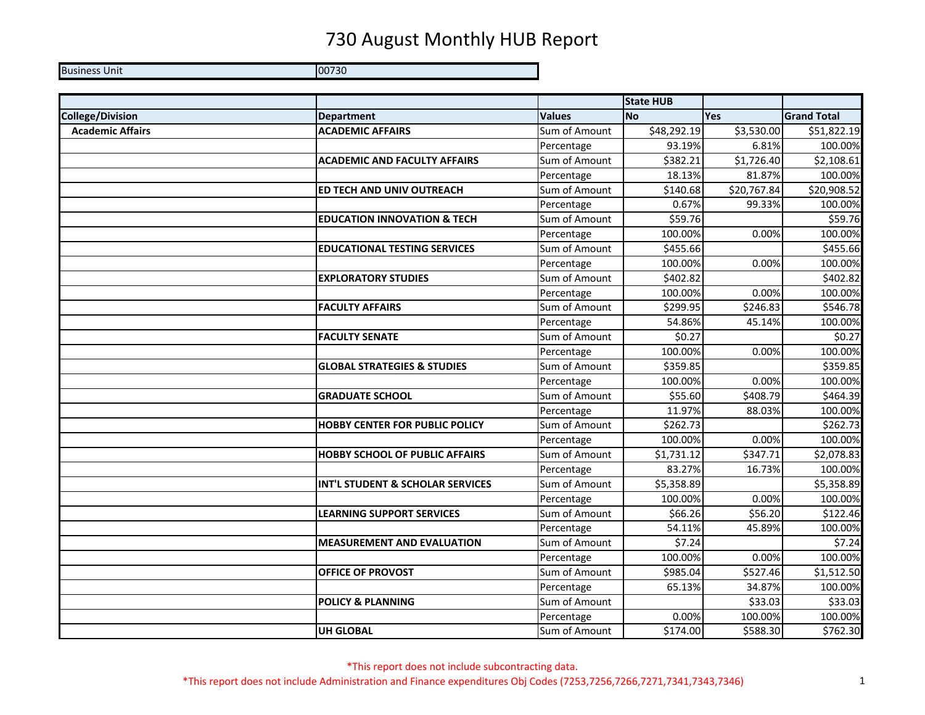Business Unit 00730

|                         |                                        |               | <b>State HUB</b> |                         |                    |
|-------------------------|----------------------------------------|---------------|------------------|-------------------------|--------------------|
| <b>College/Division</b> | <b>Department</b>                      | <b>Values</b> | <b>No</b>        | <b>Yes</b>              | <b>Grand Total</b> |
| <b>Academic Affairs</b> | <b>ACADEMIC AFFAIRS</b>                | Sum of Amount | \$48,292.19      | \$3,530.00              | \$51,822.19        |
|                         |                                        | Percentage    | 93.19%           | 6.81%                   | 100.00%            |
|                         | <b>ACADEMIC AND FACULTY AFFAIRS</b>    | Sum of Amount | \$382.21         | \$1,726.40              | \$2,108.61         |
|                         |                                        | Percentage    | 18.13%           | 81.87%                  | 100.00%            |
|                         | <b>ED TECH AND UNIV OUTREACH</b>       | Sum of Amount | \$140.68         | $\overline{$}20,767.84$ | \$20,908.52        |
|                         |                                        | Percentage    | 0.67%            | 99.33%                  | 100.00%            |
|                         | <b>EDUCATION INNOVATION &amp; TECH</b> | Sum of Amount | \$59.76          |                         | \$59.76            |
|                         |                                        | Percentage    | 100.00%          | 0.00%                   | 100.00%            |
|                         | <b>EDUCATIONAL TESTING SERVICES</b>    | Sum of Amount | \$455.66         |                         | \$455.66           |
|                         |                                        | Percentage    | 100.00%          | 0.00%                   | 100.00%            |
|                         | <b>EXPLORATORY STUDIES</b>             | Sum of Amount | \$402.82         |                         | \$402.82           |
|                         |                                        | Percentage    | 100.00%          | 0.00%                   | 100.00%            |
|                         | <b>FACULTY AFFAIRS</b>                 | Sum of Amount | \$299.95         | \$246.83                | \$546.78           |
|                         |                                        | Percentage    | 54.86%           | 45.14%                  | 100.00%            |
|                         | <b>FACULTY SENATE</b>                  | Sum of Amount | \$0.27           |                         | \$0.27             |
|                         |                                        | Percentage    | 100.00%          | 0.00%                   | 100.00%            |
|                         | <b>GLOBAL STRATEGIES &amp; STUDIES</b> | Sum of Amount | \$359.85         |                         | \$359.85           |
|                         |                                        | Percentage    | 100.00%          | 0.00%                   | 100.00%            |
|                         | <b>GRADUATE SCHOOL</b>                 | Sum of Amount | \$55.60          | \$408.79                | \$464.39           |
|                         |                                        | Percentage    | 11.97%           | 88.03%                  | 100.00%            |
|                         | <b>HOBBY CENTER FOR PUBLIC POLICY</b>  | Sum of Amount | \$262.73         |                         | \$262.73           |
|                         |                                        | Percentage    | 100.00%          | 0.00%                   | 100.00%            |
|                         | <b>HOBBY SCHOOL OF PUBLIC AFFAIRS</b>  | Sum of Amount | \$1,731.12       | \$347.71                | \$2,078.83         |
|                         |                                        | Percentage    | 83.27%           | 16.73%                  | 100.00%            |
|                         | INT'L STUDENT & SCHOLAR SERVICES       | Sum of Amount | \$5,358.89       |                         | \$5,358.89         |
|                         |                                        | Percentage    | 100.00%          | 0.00%                   | 100.00%            |
|                         | <b>LEARNING SUPPORT SERVICES</b>       | Sum of Amount | \$66.26          | \$56.20                 | \$122.46           |
|                         |                                        | Percentage    | 54.11%           | 45.89%                  | 100.00%            |
|                         | <b>MEASUREMENT AND EVALUATION</b>      | Sum of Amount | \$7.24           |                         | \$7.24             |
|                         |                                        | Percentage    | 100.00%          | 0.00%                   | 100.00%            |
|                         | OFFICE OF PROVOST                      | Sum of Amount | \$985.04         | \$527.46                | \$1,512.50         |
|                         |                                        | Percentage    | 65.13%           | 34.87%                  | 100.00%            |
|                         | <b>POLICY &amp; PLANNING</b>           | Sum of Amount |                  | \$33.03                 | \$33.03            |
|                         |                                        | Percentage    | 0.00%            | 100.00%                 | 100.00%            |
|                         | <b>UH GLOBAL</b>                       | Sum of Amount | \$174.00         | \$588.30                | \$762.30           |

\*This report does not include subcontracting data. \*This report does not include Administration and Finance expenditures Obj Codes (7253,7256,7266,7271,7341,7343,7346) 1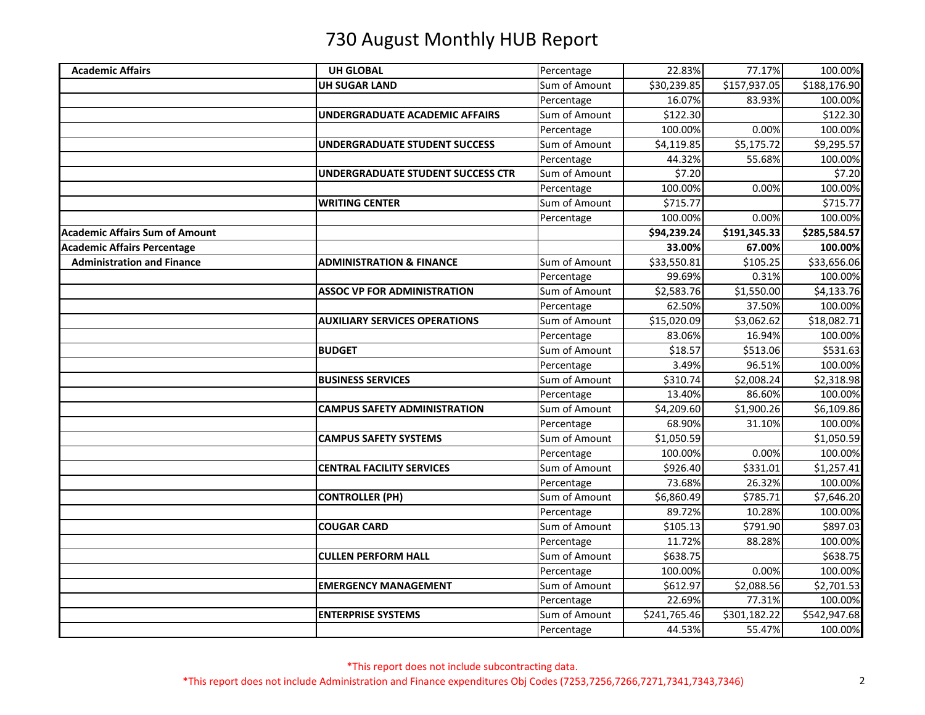| <b>Academic Affairs</b>               | <b>UH GLOBAL</b>                      | Percentage    | 22.83%       | 77.17%       | 100.00%      |
|---------------------------------------|---------------------------------------|---------------|--------------|--------------|--------------|
|                                       | <b>UH SUGAR LAND</b>                  | Sum of Amount | \$30,239.85  | \$157,937.05 | \$188,176.90 |
|                                       |                                       | Percentage    | 16.07%       | 83.93%       | 100.00%      |
|                                       | <b>UNDERGRADUATE ACADEMIC AFFAIRS</b> | Sum of Amount | \$122.30     |              | \$122.30     |
|                                       |                                       | Percentage    | 100.00%      | 0.00%        | 100.00%      |
|                                       | <b>UNDERGRADUATE STUDENT SUCCESS</b>  | Sum of Amount | \$4,119.85   | \$5,175.72   | \$9,295.57   |
|                                       |                                       | Percentage    | 44.32%       | 55.68%       | 100.00%      |
|                                       | UNDERGRADUATE STUDENT SUCCESS CTR     | Sum of Amount | \$7.20       |              | \$7.20       |
|                                       |                                       | Percentage    | 100.00%      | 0.00%        | 100.00%      |
|                                       | <b>WRITING CENTER</b>                 | Sum of Amount | \$715.77     |              | \$715.77     |
|                                       |                                       | Percentage    | 100.00%      | 0.00%        | 100.00%      |
| <b>Academic Affairs Sum of Amount</b> |                                       |               | \$94,239.24  | \$191,345.33 | \$285,584.57 |
| <b>Academic Affairs Percentage</b>    |                                       |               | 33.00%       | 67.00%       | 100.00%      |
| <b>Administration and Finance</b>     | <b>ADMINISTRATION &amp; FINANCE</b>   | Sum of Amount | \$33,550.81  | \$105.25     | \$33,656.06  |
|                                       |                                       | Percentage    | 99.69%       | 0.31%        | 100.00%      |
|                                       | <b>ASSOC VP FOR ADMINISTRATION</b>    | Sum of Amount | \$2,583.76   | \$1,550.00   | \$4,133.76   |
|                                       |                                       | Percentage    | 62.50%       | 37.50%       | 100.00%      |
|                                       | <b>AUXILIARY SERVICES OPERATIONS</b>  | Sum of Amount | \$15,020.09  | \$3,062.62   | \$18,082.71  |
|                                       |                                       | Percentage    | 83.06%       | 16.94%       | 100.00%      |
|                                       | <b>BUDGET</b>                         | Sum of Amount | \$18.57      | \$513.06     | \$531.63     |
|                                       |                                       | Percentage    | 3.49%        | 96.51%       | 100.00%      |
|                                       | <b>BUSINESS SERVICES</b>              | Sum of Amount | \$310.74     | \$2,008.24   | \$2,318.98   |
|                                       |                                       | Percentage    | 13.40%       | 86.60%       | 100.00%      |
|                                       | <b>CAMPUS SAFETY ADMINISTRATION</b>   | Sum of Amount | \$4,209.60   | \$1,900.26   | \$6,109.86   |
|                                       |                                       | Percentage    | 68.90%       | 31.10%       | 100.00%      |
|                                       | <b>CAMPUS SAFETY SYSTEMS</b>          | Sum of Amount | \$1,050.59   |              | \$1,050.59   |
|                                       |                                       | Percentage    | 100.00%      | 0.00%        | 100.00%      |
|                                       | <b>CENTRAL FACILITY SERVICES</b>      | Sum of Amount | \$926.40     | \$331.01     | \$1,257.41   |
|                                       |                                       | Percentage    | 73.68%       | 26.32%       | 100.00%      |
|                                       | <b>CONTROLLER (PH)</b>                | Sum of Amount | \$6,860.49   | \$785.71     | \$7,646.20   |
|                                       |                                       | Percentage    | 89.72%       | 10.28%       | 100.00%      |
|                                       | <b>COUGAR CARD</b>                    | Sum of Amount | \$105.13     | \$791.90     | \$897.03     |
|                                       |                                       | Percentage    | 11.72%       | 88.28%       | 100.00%      |
|                                       | <b>CULLEN PERFORM HALL</b>            | Sum of Amount | \$638.75     |              | \$638.75     |
|                                       |                                       | Percentage    | 100.00%      | 0.00%        | 100.00%      |
|                                       | <b>EMERGENCY MANAGEMENT</b>           | Sum of Amount | \$612.97     | \$2,088.56   | \$2,701.53   |
|                                       |                                       | Percentage    | 22.69%       | 77.31%       | 100.00%      |
|                                       | <b>ENTERPRISE SYSTEMS</b>             | Sum of Amount | \$241,765.46 | \$301,182.22 | \$542,947.68 |
|                                       |                                       | Percentage    | 44.53%       | 55.47%       | 100.00%      |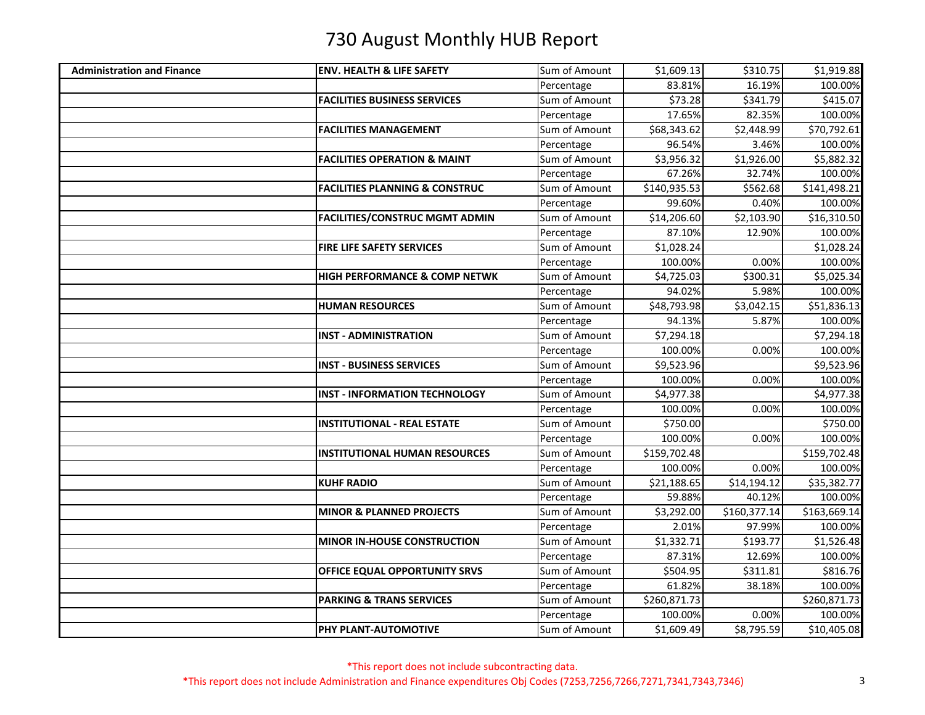| <b>Administration and Finance</b> | <b>ENV. HEALTH &amp; LIFE SAFETY</b>      | Sum of Amount | \$1,609.13   | \$310.75     | \$1,919.88   |
|-----------------------------------|-------------------------------------------|---------------|--------------|--------------|--------------|
|                                   |                                           | Percentage    | 83.81%       | 16.19%       | 100.00%      |
|                                   | <b>FACILITIES BUSINESS SERVICES</b>       | Sum of Amount | \$73.28      | \$341.79     | \$415.07     |
|                                   |                                           | Percentage    | 17.65%       | 82.35%       | 100.00%      |
|                                   | <b>FACILITIES MANAGEMENT</b>              | Sum of Amount | \$68,343.62  | \$2,448.99   | \$70,792.61  |
|                                   |                                           | Percentage    | 96.54%       | 3.46%        | 100.00%      |
|                                   | <b>FACILITIES OPERATION &amp; MAINT</b>   | Sum of Amount | \$3,956.32   | \$1,926.00   | \$5,882.32   |
|                                   |                                           | Percentage    | 67.26%       | 32.74%       | 100.00%      |
|                                   | <b>FACILITIES PLANNING &amp; CONSTRUC</b> | Sum of Amount | \$140,935.53 | \$562.68     | \$141,498.21 |
|                                   |                                           | Percentage    | 99.60%       | 0.40%        | 100.00%      |
|                                   | <b>FACILITIES/CONSTRUC MGMT ADMIN</b>     | Sum of Amount | \$14,206.60  | \$2,103.90   | \$16,310.50  |
|                                   |                                           | Percentage    | 87.10%       | 12.90%       | 100.00%      |
|                                   | <b>FIRE LIFE SAFETY SERVICES</b>          | Sum of Amount | \$1,028.24   |              | \$1,028.24   |
|                                   |                                           | Percentage    | 100.00%      | 0.00%        | 100.00%      |
|                                   | <b>HIGH PERFORMANCE &amp; COMP NETWK</b>  | Sum of Amount | \$4,725.03   | \$300.31     | \$5,025.34   |
|                                   |                                           | Percentage    | 94.02%       | 5.98%        | 100.00%      |
|                                   | <b>HUMAN RESOURCES</b>                    | Sum of Amount | \$48,793.98  | \$3,042.15   | \$51,836.13  |
|                                   |                                           | Percentage    | 94.13%       | 5.87%        | 100.00%      |
|                                   | <b>INST - ADMINISTRATION</b>              | Sum of Amount | \$7,294.18   |              | \$7,294.18   |
|                                   |                                           | Percentage    | 100.00%      | 0.00%        | 100.00%      |
|                                   | <b>INST - BUSINESS SERVICES</b>           | Sum of Amount | \$9,523.96   |              | \$9,523.96   |
|                                   |                                           | Percentage    | 100.00%      | 0.00%        | 100.00%      |
|                                   | <b>INST - INFORMATION TECHNOLOGY</b>      | Sum of Amount | \$4,977.38   |              | \$4,977.38   |
|                                   |                                           | Percentage    | 100.00%      | 0.00%        | 100.00%      |
|                                   | <b>INSTITUTIONAL - REAL ESTATE</b>        | Sum of Amount | \$750.00     |              | \$750.00     |
|                                   |                                           | Percentage    | 100.00%      | 0.00%        | 100.00%      |
|                                   | <b>INSTITUTIONAL HUMAN RESOURCES</b>      | Sum of Amount | \$159,702.48 |              | \$159,702.48 |
|                                   |                                           | Percentage    | 100.00%      | 0.00%        | 100.00%      |
|                                   | <b>KUHF RADIO</b>                         | Sum of Amount | \$21,188.65  | \$14,194.12  | \$35,382.77  |
|                                   |                                           | Percentage    | 59.88%       | 40.12%       | 100.00%      |
|                                   | <b>MINOR &amp; PLANNED PROJECTS</b>       | Sum of Amount | \$3,292.00   | \$160,377.14 | \$163,669.14 |
|                                   |                                           | Percentage    | 2.01%        | 97.99%       | 100.00%      |
|                                   | MINOR IN-HOUSE CONSTRUCTION               | Sum of Amount | \$1,332.71   | \$193.77     | \$1,526.48   |
|                                   |                                           | Percentage    | 87.31%       | 12.69%       | 100.00%      |
|                                   | OFFICE EQUAL OPPORTUNITY SRVS             | Sum of Amount | \$504.95     | \$311.81     | \$816.76     |
|                                   |                                           | Percentage    | 61.82%       | 38.18%       | 100.00%      |
|                                   | <b>PARKING &amp; TRANS SERVICES</b>       | Sum of Amount | \$260,871.73 |              | \$260,871.73 |
|                                   |                                           | Percentage    | 100.00%      | 0.00%        | 100.00%      |
|                                   | PHY PLANT-AUTOMOTIVE                      | Sum of Amount | \$1,609.49   | \$8,795.59   | \$10,405.08  |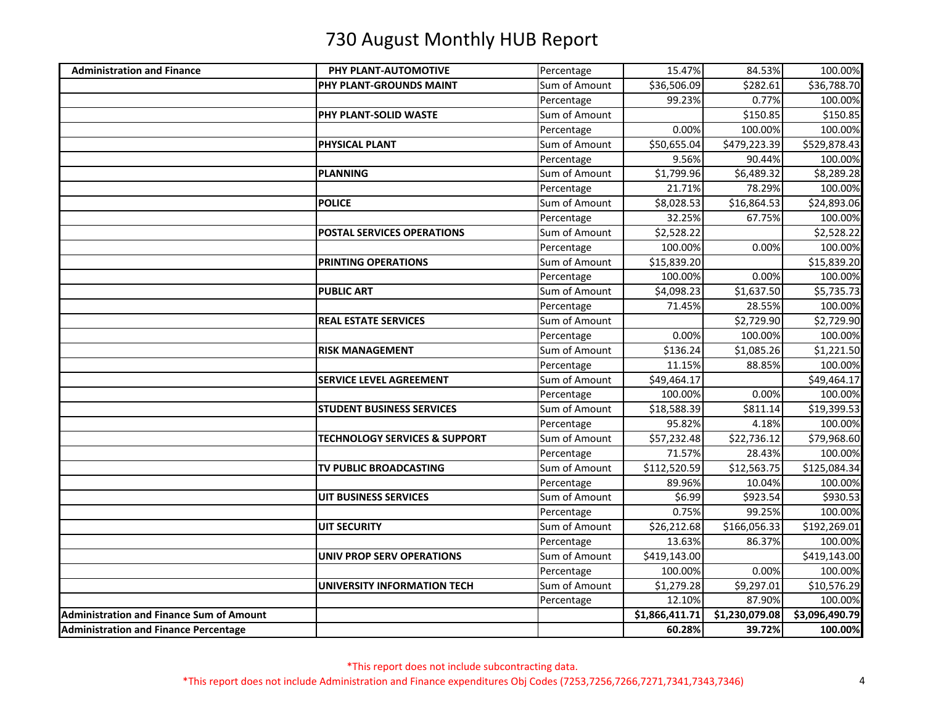| <b>Administration and Finance</b>               | PHY PLANT-AUTOMOTIVE                     | Percentage    | 15.47%                   | 84.53%         | 100.00%        |
|-------------------------------------------------|------------------------------------------|---------------|--------------------------|----------------|----------------|
|                                                 | PHY PLANT-GROUNDS MAINT                  | Sum of Amount | \$36,506.09              | \$282.61       | \$36,788.70    |
|                                                 |                                          | Percentage    | 99.23%                   | 0.77%          | 100.00%        |
|                                                 | <b>PHY PLANT-SOLID WASTE</b>             | Sum of Amount |                          | \$150.85       | \$150.85       |
|                                                 |                                          | Percentage    | 0.00%                    | 100.00%        | 100.00%        |
|                                                 | <b>PHYSICAL PLANT</b>                    | Sum of Amount | \$50,655.04              | \$479,223.39   | \$529,878.43   |
|                                                 |                                          | Percentage    | 9.56%                    | 90.44%         | 100.00%        |
|                                                 | <b>PLANNING</b>                          | Sum of Amount | \$1,799.96               | \$6,489.32     | \$8,289.28     |
|                                                 |                                          | Percentage    | 21.71%                   | 78.29%         | 100.00%        |
|                                                 | <b>POLICE</b>                            | Sum of Amount | \$8,028.53               | \$16,864.53    | \$24,893.06    |
|                                                 |                                          | Percentage    | 32.25%                   | 67.75%         | 100.00%        |
|                                                 | <b>POSTAL SERVICES OPERATIONS</b>        | Sum of Amount | \$2,528.22               |                | \$2,528.22     |
|                                                 |                                          | Percentage    | 100.00%                  | 0.00%          | 100.00%        |
|                                                 | PRINTING OPERATIONS                      | Sum of Amount | \$15,839.20              |                | \$15,839.20    |
|                                                 |                                          | Percentage    | 100.00%                  | 0.00%          | 100.00%        |
|                                                 | <b>PUBLIC ART</b>                        | Sum of Amount | \$4,098.23               | \$1,637.50     | \$5,735.73     |
|                                                 |                                          | Percentage    | 71.45%                   | 28.55%         | 100.00%        |
|                                                 | <b>REAL ESTATE SERVICES</b>              | Sum of Amount |                          | \$2,729.90     | \$2,729.90     |
|                                                 |                                          | Percentage    | 0.00%                    | 100.00%        | 100.00%        |
|                                                 | <b>RISK MANAGEMENT</b>                   | Sum of Amount | \$136.24                 | \$1,085.26     | \$1,221.50     |
|                                                 |                                          | Percentage    | 11.15%                   | 88.85%         | 100.00%        |
|                                                 | <b>SERVICE LEVEL AGREEMENT</b>           | Sum of Amount | \$49,464.17              |                | \$49,464.17    |
|                                                 |                                          | Percentage    | 100.00%                  | 0.00%          | 100.00%        |
|                                                 | <b>STUDENT BUSINESS SERVICES</b>         | Sum of Amount | \$18,588.39              | \$811.14       | \$19,399.53    |
|                                                 |                                          | Percentage    | 95.82%                   | 4.18%          | 100.00%        |
|                                                 | <b>TECHNOLOGY SERVICES &amp; SUPPORT</b> | Sum of Amount | \$57,232.48              | \$22,736.12    | \$79,968.60    |
|                                                 |                                          | Percentage    | 71.57%                   | 28.43%         | 100.00%        |
|                                                 | TV PUBLIC BROADCASTING                   | Sum of Amount | $\overline{$}112,520.59$ | \$12,563.75    | \$125,084.34   |
|                                                 |                                          | Percentage    | 89.96%                   | 10.04%         | 100.00%        |
|                                                 | <b>UIT BUSINESS SERVICES</b>             | Sum of Amount | \$6.99                   | \$923.54       | \$930.53       |
|                                                 |                                          | Percentage    | 0.75%                    | 99.25%         | 100.00%        |
|                                                 | <b>UIT SECURITY</b>                      | Sum of Amount | \$26,212.68              | \$166,056.33   | \$192,269.01   |
|                                                 |                                          | Percentage    | 13.63%                   | 86.37%         | 100.00%        |
|                                                 | <b>UNIV PROP SERV OPERATIONS</b>         | Sum of Amount | \$419,143.00             |                | \$419,143.00   |
|                                                 |                                          | Percentage    | 100.00%                  | 0.00%          | 100.00%        |
|                                                 | UNIVERSITY INFORMATION TECH              | Sum of Amount | \$1,279.28               | \$9,297.01     | \$10,576.29    |
|                                                 |                                          | Percentage    | 12.10%                   | 87.90%         | 100.00%        |
| <b>Administration and Finance Sum of Amount</b> |                                          |               | \$1,866,411.71           | \$1,230,079.08 | \$3,096,490.79 |
| <b>Administration and Finance Percentage</b>    |                                          |               | 60.28%                   | 39.72%         | 100.00%        |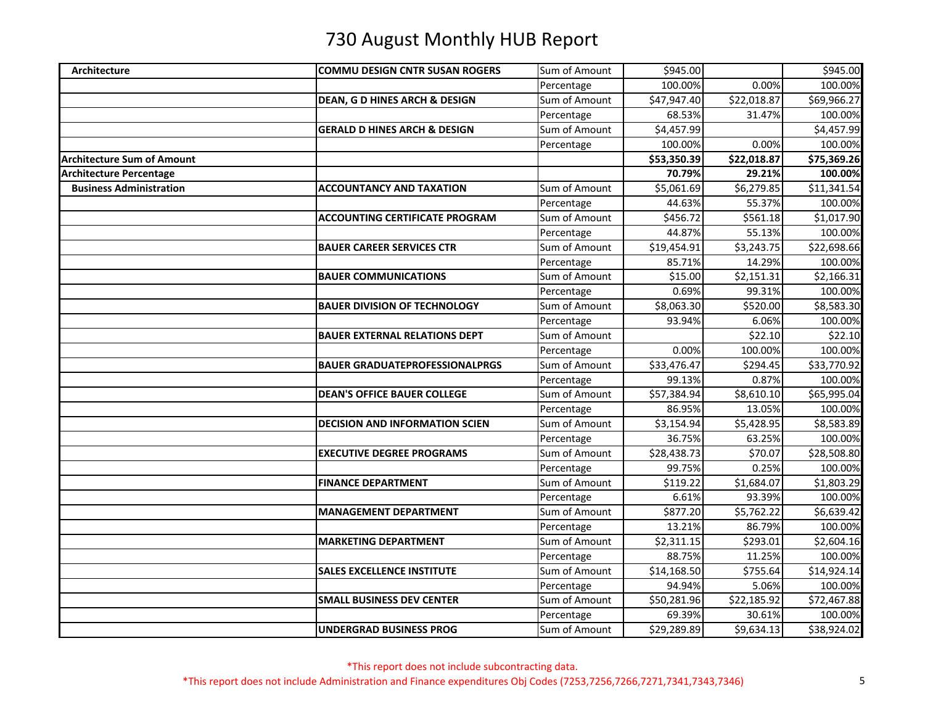| <b>Architecture</b>               | <b>COMMU DESIGN CNTR SUSAN ROGERS</b>    | Sum of Amount | \$945.00    |             | \$945.00    |
|-----------------------------------|------------------------------------------|---------------|-------------|-------------|-------------|
|                                   |                                          | Percentage    | 100.00%     | 0.00%       | 100.00%     |
|                                   | <b>DEAN, G D HINES ARCH &amp; DESIGN</b> | Sum of Amount | \$47,947.40 | \$22,018.87 | \$69,966.27 |
|                                   |                                          | Percentage    | 68.53%      | 31.47%      | 100.00%     |
|                                   | <b>GERALD D HINES ARCH &amp; DESIGN</b>  | Sum of Amount | \$4,457.99  |             | \$4,457.99  |
|                                   |                                          | Percentage    | 100.00%     | 0.00%       | 100.00%     |
| <b>Architecture Sum of Amount</b> |                                          |               | \$53,350.39 | \$22,018.87 | \$75,369.26 |
| <b>Architecture Percentage</b>    |                                          |               | 70.79%      | 29.21%      | 100.00%     |
| <b>Business Administration</b>    | <b>ACCOUNTANCY AND TAXATION</b>          | Sum of Amount | \$5,061.69  | \$6,279.85  | \$11,341.54 |
|                                   |                                          | Percentage    | 44.63%      | 55.37%      | 100.00%     |
|                                   | <b>ACCOUNTING CERTIFICATE PROGRAM</b>    | Sum of Amount | \$456.72    | \$561.18    | \$1,017.90  |
|                                   |                                          | Percentage    | 44.87%      | 55.13%      | 100.00%     |
|                                   | <b>BAUER CAREER SERVICES CTR</b>         | Sum of Amount | \$19,454.91 | \$3,243.75  | \$22,698.66 |
|                                   |                                          | Percentage    | 85.71%      | 14.29%      | 100.00%     |
|                                   | <b>BAUER COMMUNICATIONS</b>              | Sum of Amount | \$15.00     | \$2,151.31  | \$2,166.31  |
|                                   |                                          | Percentage    | 0.69%       | 99.31%      | 100.00%     |
|                                   | <b>BAUER DIVISION OF TECHNOLOGY</b>      | Sum of Amount | \$8,063.30  | \$520.00    | \$8,583.30  |
|                                   |                                          | Percentage    | 93.94%      | 6.06%       | 100.00%     |
|                                   | <b>BAUER EXTERNAL RELATIONS DEPT</b>     | Sum of Amount |             | \$22.10     | \$22.10     |
|                                   |                                          | Percentage    | 0.00%       | 100.00%     | 100.00%     |
|                                   | <b>BAUER GRADUATEPROFESSIONALPRGS</b>    | Sum of Amount | \$33,476.47 | \$294.45    | \$33,770.92 |
|                                   |                                          | Percentage    | 99.13%      | 0.87%       | 100.00%     |
|                                   | <b>DEAN'S OFFICE BAUER COLLEGE</b>       | Sum of Amount | \$57,384.94 | \$8,610.10  | \$65,995.04 |
|                                   |                                          | Percentage    | 86.95%      | 13.05%      | 100.00%     |
|                                   | <b>DECISION AND INFORMATION SCIEN</b>    | Sum of Amount | \$3,154.94  | \$5,428.95  | \$8,583.89  |
|                                   |                                          | Percentage    | 36.75%      | 63.25%      | 100.00%     |
|                                   | <b>EXECUTIVE DEGREE PROGRAMS</b>         | Sum of Amount | \$28,438.73 | \$70.07     | \$28,508.80 |
|                                   |                                          | Percentage    | 99.75%      | 0.25%       | 100.00%     |
|                                   | <b>FINANCE DEPARTMENT</b>                | Sum of Amount | \$119.22    | \$1,684.07  | \$1,803.29  |
|                                   |                                          | Percentage    | 6.61%       | 93.39%      | 100.00%     |
|                                   | <b>MANAGEMENT DEPARTMENT</b>             | Sum of Amount | \$877.20    | \$5,762.22  | \$6,639.42  |
|                                   |                                          | Percentage    | 13.21%      | 86.79%      | 100.00%     |
|                                   | <b>MARKETING DEPARTMENT</b>              | Sum of Amount | \$2,311.15  | \$293.01    | \$2,604.16  |
|                                   |                                          | Percentage    | 88.75%      | 11.25%      | 100.00%     |
|                                   | <b>SALES EXCELLENCE INSTITUTE</b>        | Sum of Amount | \$14,168.50 | \$755.64    | \$14,924.14 |
|                                   |                                          | Percentage    | 94.94%      | 5.06%       | 100.00%     |
|                                   | <b>SMALL BUSINESS DEV CENTER</b>         | Sum of Amount | \$50,281.96 | \$22,185.92 | \$72,467.88 |
|                                   |                                          | Percentage    | 69.39%      | 30.61%      | 100.00%     |
|                                   | <b>UNDERGRAD BUSINESS PROG</b>           | Sum of Amount | \$29,289.89 | \$9,634.13  | \$38,924.02 |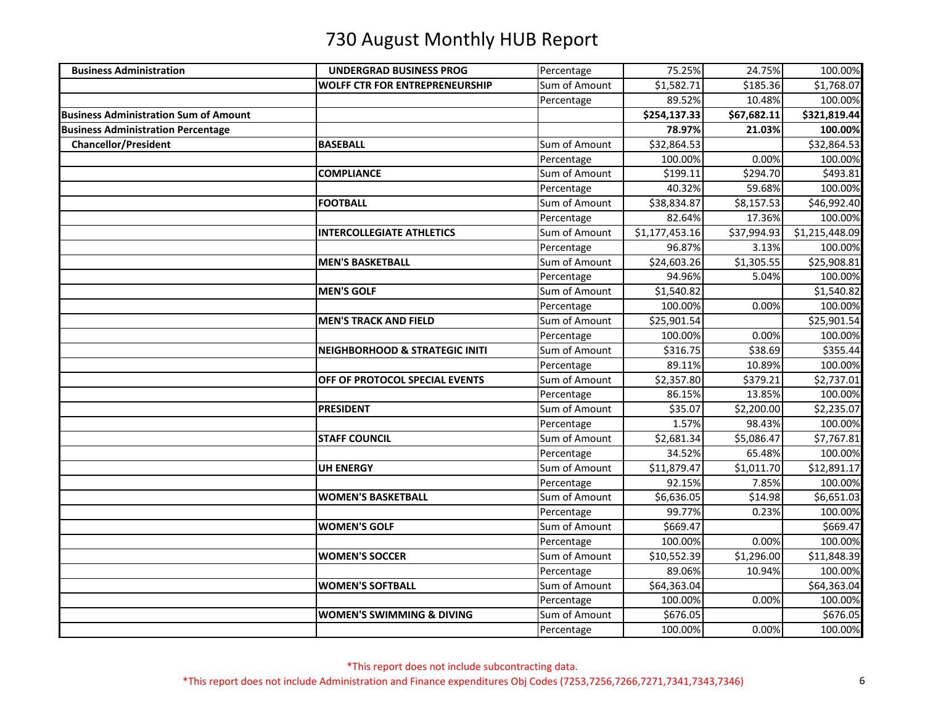| <b>Business Administration</b>               | <b>UNDERGRAD BUSINESS PROG</b>            | Percentage    | 75.25%         | 24.75%      | 100.00%        |
|----------------------------------------------|-------------------------------------------|---------------|----------------|-------------|----------------|
|                                              | <b>WOLFF CTR FOR ENTREPRENEURSHIP</b>     | Sum of Amount | \$1,582.71     | \$185.36    | \$1,768.07     |
|                                              |                                           | Percentage    | 89.52%         | 10.48%      | 100.00%        |
| <b>Business Administration Sum of Amount</b> |                                           |               | \$254,137.33   | \$67,682.11 | \$321,819.44   |
| <b>Business Administration Percentage</b>    |                                           |               | 78.97%         | 21.03%      | 100.00%        |
| <b>Chancellor/President</b>                  | <b>BASEBALL</b>                           | Sum of Amount | \$32,864.53    |             | \$32,864.53    |
|                                              |                                           | Percentage    | 100.00%        | 0.00%       | 100.00%        |
|                                              | <b>COMPLIANCE</b>                         | Sum of Amount | \$199.11       | \$294.70    | \$493.81       |
|                                              |                                           | Percentage    | 40.32%         | 59.68%      | 100.00%        |
|                                              | <b>FOOTBALL</b>                           | Sum of Amount | \$38,834.87    | \$8,157.53  | \$46,992.40    |
|                                              |                                           | Percentage    | 82.64%         | 17.36%      | 100.00%        |
|                                              | <b>INTERCOLLEGIATE ATHLETICS</b>          | Sum of Amount | \$1,177,453.16 | \$37,994.93 | \$1,215,448.09 |
|                                              |                                           | Percentage    | 96.87%         | 3.13%       | 100.00%        |
|                                              | <b>MEN'S BASKETBALL</b>                   | Sum of Amount | \$24,603.26    | \$1,305.55  | \$25,908.81    |
|                                              |                                           | Percentage    | 94.96%         | 5.04%       | 100.00%        |
|                                              | <b>MEN'S GOLF</b>                         | Sum of Amount | \$1,540.82     |             | \$1,540.82     |
|                                              |                                           | Percentage    | 100.00%        | 0.00%       | 100.00%        |
|                                              | <b>MEN'S TRACK AND FIELD</b>              | Sum of Amount | \$25,901.54    |             | \$25,901.54    |
|                                              |                                           | Percentage    | 100.00%        | 0.00%       | 100.00%        |
|                                              | <b>NEIGHBORHOOD &amp; STRATEGIC INITI</b> | Sum of Amount | \$316.75       | \$38.69     | \$355.44       |
|                                              |                                           | Percentage    | 89.11%         | 10.89%      | 100.00%        |
|                                              | OFF OF PROTOCOL SPECIAL EVENTS            | Sum of Amount | \$2,357.80     | \$379.21    | \$2,737.01     |
|                                              |                                           | Percentage    | 86.15%         | 13.85%      | 100.00%        |
|                                              | <b>PRESIDENT</b>                          | Sum of Amount | \$35.07        | \$2,200.00  | \$2,235.07     |
|                                              |                                           | Percentage    | 1.57%          | 98.43%      | 100.00%        |
|                                              | <b>STAFF COUNCIL</b>                      | Sum of Amount | \$2,681.34     | \$5,086.47  | \$7,767.81     |
|                                              |                                           | Percentage    | 34.52%         | 65.48%      | 100.00%        |
|                                              | UH ENERGY                                 | Sum of Amount | \$11,879.47    | \$1,011.70  | \$12,891.17    |
|                                              |                                           | Percentage    | 92.15%         | 7.85%       | 100.00%        |
|                                              | <b>WOMEN'S BASKETBALL</b>                 | Sum of Amount | \$6,636.05     | \$14.98     | \$6,651.03     |
|                                              |                                           | Percentage    | 99.77%         | 0.23%       | 100.00%        |
|                                              | <b>WOMEN'S GOLF</b>                       | Sum of Amount | \$669.47       |             | \$669.47       |
|                                              |                                           | Percentage    | 100.00%        | 0.00%       | 100.00%        |
|                                              | <b>WOMEN'S SOCCER</b>                     | Sum of Amount | \$10,552.39    | \$1,296.00  | \$11,848.39    |
|                                              |                                           | Percentage    | 89.06%         | 10.94%      | 100.00%        |
|                                              | <b>WOMEN'S SOFTBALL</b>                   | Sum of Amount | \$64,363.04    |             | \$64,363.04    |
|                                              |                                           | Percentage    | 100.00%        | 0.00%       | 100.00%        |
|                                              | <b>WOMEN'S SWIMMING &amp; DIVING</b>      | Sum of Amount | \$676.05       |             | \$676.05       |
|                                              |                                           | Percentage    | 100.00%        | 0.00%       | 100.00%        |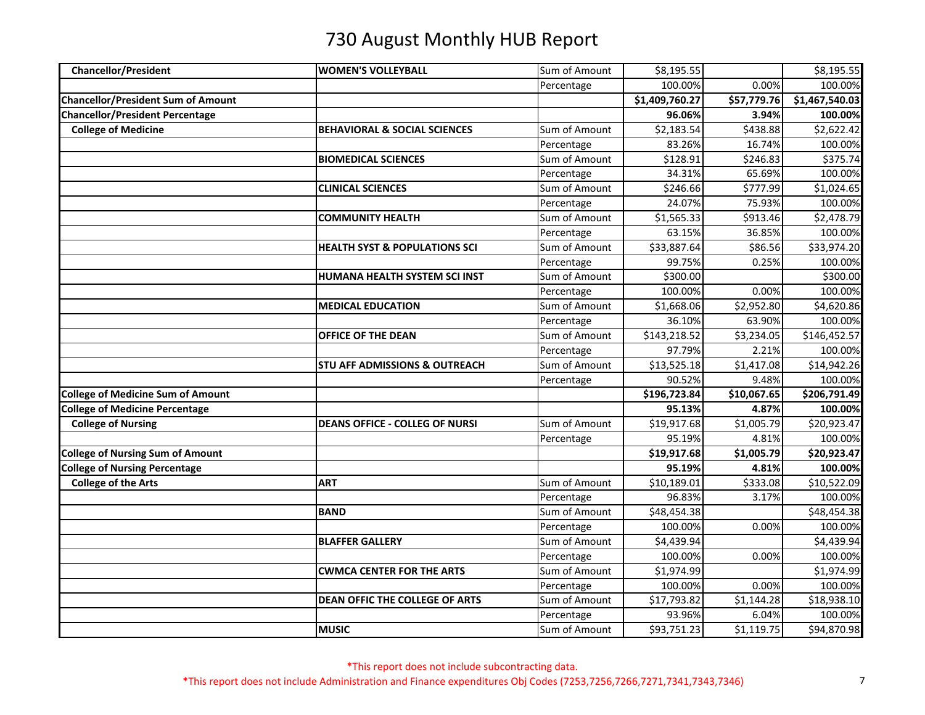| <b>Chancellor/President</b>               | <b>WOMEN'S VOLLEYBALL</b>                | Sum of Amount | \$8,195.55     |                        | \$8,195.55     |
|-------------------------------------------|------------------------------------------|---------------|----------------|------------------------|----------------|
|                                           |                                          | Percentage    | 100.00%        | 0.00%                  | 100.00%        |
| <b>Chancellor/President Sum of Amount</b> |                                          |               | \$1,409,760.27 | \$57,779.76            | \$1,467,540.03 |
| <b>Chancellor/President Percentage</b>    |                                          |               | 96.06%         | 3.94%                  | 100.00%        |
| <b>College of Medicine</b>                | <b>BEHAVIORAL &amp; SOCIAL SCIENCES</b>  | Sum of Amount | \$2,183.54     | \$438.88               | \$2,622.42     |
|                                           |                                          | Percentage    | 83.26%         | 16.74%                 | 100.00%        |
|                                           | <b>BIOMEDICAL SCIENCES</b>               | Sum of Amount | \$128.91       | \$246.83               | \$375.74       |
|                                           |                                          | Percentage    | 34.31%         | 65.69%                 | 100.00%        |
|                                           | <b>CLINICAL SCIENCES</b>                 | Sum of Amount | \$246.66       | \$777.99               | \$1,024.65     |
|                                           |                                          | Percentage    | 24.07%         | 75.93%                 | 100.00%        |
|                                           | <b>COMMUNITY HEALTH</b>                  | Sum of Amount | \$1,565.33     | \$913.46               | \$2,478.79     |
|                                           |                                          | Percentage    | 63.15%         | 36.85%                 | 100.00%        |
|                                           | <b>HEALTH SYST &amp; POPULATIONS SCI</b> | Sum of Amount | \$33,887.64    | \$86.56                | \$33,974.20    |
|                                           |                                          | Percentage    | 99.75%         | 0.25%                  | 100.00%        |
|                                           | HUMANA HEALTH SYSTEM SCI INST            | Sum of Amount | \$300.00       |                        | \$300.00       |
|                                           |                                          | Percentage    | 100.00%        | 0.00%                  | 100.00%        |
|                                           | <b>MEDICAL EDUCATION</b>                 | Sum of Amount | \$1,668.06     | \$2,952.80             | \$4,620.86     |
|                                           |                                          | Percentage    | 36.10%         | 63.90%                 | 100.00%        |
|                                           | OFFICE OF THE DEAN                       | Sum of Amount | \$143,218.52   | \$3,234.05             | \$146,452.57   |
|                                           |                                          | Percentage    | 97.79%         | 2.21%                  | 100.00%        |
|                                           | STU AFF ADMISSIONS & OUTREACH            | Sum of Amount | \$13,525.18    | $\overline{$}3,417.08$ | \$14,942.26    |
|                                           |                                          | Percentage    | 90.52%         | 9.48%                  | 100.00%        |
| <b>College of Medicine Sum of Amount</b>  |                                          |               | \$196,723.84   | \$10,067.65            | \$206,791.49   |
| <b>College of Medicine Percentage</b>     |                                          |               | 95.13%         | 4.87%                  | 100.00%        |
| <b>College of Nursing</b>                 | <b>DEANS OFFICE - COLLEG OF NURSI</b>    | Sum of Amount | \$19,917.68    | \$1,005.79             | \$20,923.47    |
|                                           |                                          | Percentage    | 95.19%         | 4.81%                  | 100.00%        |
| <b>College of Nursing Sum of Amount</b>   |                                          |               | \$19,917.68    | \$1,005.79             | \$20,923.47    |
| <b>College of Nursing Percentage</b>      |                                          |               | 95.19%         | 4.81%                  | 100.00%        |
| <b>College of the Arts</b>                | <b>ART</b>                               | Sum of Amount | \$10,189.01    | \$333.08               | \$10,522.09    |
|                                           |                                          | Percentage    | 96.83%         | 3.17%                  | 100.00%        |
|                                           | <b>BAND</b>                              | Sum of Amount | \$48,454.38    |                        | \$48,454.38    |
|                                           |                                          | Percentage    | 100.00%        | 0.00%                  | 100.00%        |
|                                           | <b>BLAFFER GALLERY</b>                   | Sum of Amount | \$4,439.94     |                        | \$4,439.94     |
|                                           |                                          | Percentage    | 100.00%        | 0.00%                  | 100.00%        |
|                                           | <b>CWMCA CENTER FOR THE ARTS</b>         | Sum of Amount | \$1,974.99     |                        | \$1,974.99     |
|                                           |                                          | Percentage    | 100.00%        | 0.00%                  | 100.00%        |
|                                           | DEAN OFFIC THE COLLEGE OF ARTS           | Sum of Amount | \$17,793.82    | \$1,144.28             | \$18,938.10    |
|                                           |                                          | Percentage    | 93.96%         | 6.04%                  | 100.00%        |
|                                           | <b>MUSIC</b>                             | Sum of Amount | \$93,751.23    | $\overline{$}1,119.75$ | \$94,870.98    |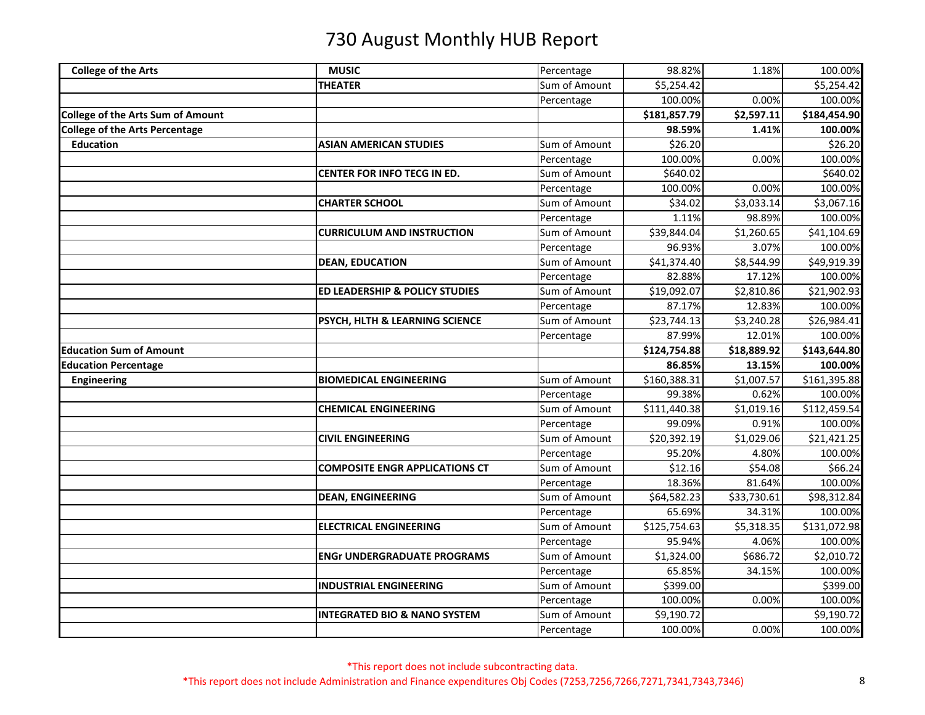| <b>College of the Arts</b>               | <b>MUSIC</b>                              | Percentage    | 98.82%       | 1.18%                  | 100.00%      |
|------------------------------------------|-------------------------------------------|---------------|--------------|------------------------|--------------|
|                                          | <b>THEATER</b>                            | Sum of Amount | \$5,254.42   |                        | \$5,254.42   |
|                                          |                                           | Percentage    | 100.00%      | 0.00%                  | 100.00%      |
| <b>College of the Arts Sum of Amount</b> |                                           |               | \$181,857.79 | \$2,597.11             | \$184,454.90 |
| <b>College of the Arts Percentage</b>    |                                           |               | 98.59%       | 1.41%                  | 100.00%      |
| <b>Education</b>                         | <b>ASIAN AMERICAN STUDIES</b>             | Sum of Amount | \$26.20      |                        | \$26.20      |
|                                          |                                           | Percentage    | 100.00%      | 0.00%                  | 100.00%      |
|                                          | <b>CENTER FOR INFO TECG IN ED.</b>        | Sum of Amount | \$640.02     |                        | \$640.02     |
|                                          |                                           | Percentage    | 100.00%      | 0.00%                  | 100.00%      |
|                                          | <b>CHARTER SCHOOL</b>                     | Sum of Amount | \$34.02      | \$3,033.14             | \$3,067.16   |
|                                          |                                           | Percentage    | 1.11%        | 98.89%                 | 100.00%      |
|                                          | <b>CURRICULUM AND INSTRUCTION</b>         | Sum of Amount | \$39,844.04  | \$1,260.65             | \$41,104.69  |
|                                          |                                           | Percentage    | 96.93%       | 3.07%                  | 100.00%      |
|                                          | <b>DEAN, EDUCATION</b>                    | Sum of Amount | \$41,374.40  | \$8,544.99             | \$49,919.39  |
|                                          |                                           | Percentage    | 82.88%       | 17.12%                 | 100.00%      |
|                                          | <b>ED LEADERSHIP &amp; POLICY STUDIES</b> | Sum of Amount | \$19,092.07  | \$2,810.86             | \$21,902.93  |
|                                          |                                           | Percentage    | 87.17%       | 12.83%                 | 100.00%      |
|                                          | PSYCH, HLTH & LEARNING SCIENCE            | Sum of Amount | \$23,744.13  | $\overline{$}3,240.28$ | \$26,984.41  |
|                                          |                                           | Percentage    | 87.99%       | 12.01%                 | 100.00%      |
| <b>Education Sum of Amount</b>           |                                           |               | \$124,754.88 | \$18,889.92            | \$143,644.80 |
| <b>Education Percentage</b>              |                                           |               | 86.85%       | 13.15%                 | 100.00%      |
| <b>Engineering</b>                       | <b>BIOMEDICAL ENGINEERING</b>             | Sum of Amount | \$160,388.31 | \$1,007.57             | \$161,395.88 |
|                                          |                                           | Percentage    | 99.38%       | 0.62%                  | 100.00%      |
|                                          | <b>CHEMICAL ENGINEERING</b>               | Sum of Amount | \$111,440.38 | \$1,019.16             | \$112,459.54 |
|                                          |                                           | Percentage    | 99.09%       | 0.91%                  | 100.00%      |
|                                          | <b>CIVIL ENGINEERING</b>                  | Sum of Amount | \$20,392.19  | \$1,029.06             | \$21,421.25  |
|                                          |                                           | Percentage    | 95.20%       | 4.80%                  | 100.00%      |
|                                          | <b>COMPOSITE ENGR APPLICATIONS CT</b>     | Sum of Amount | \$12.16      | \$54.08                | \$66.24      |
|                                          |                                           | Percentage    | 18.36%       | 81.64%                 | 100.00%      |
|                                          | <b>DEAN, ENGINEERING</b>                  | Sum of Amount | \$64,582.23  | \$33,730.61            | \$98,312.84  |
|                                          |                                           | Percentage    | 65.69%       | 34.31%                 | 100.00%      |
|                                          | <b>ELECTRICAL ENGINEERING</b>             | Sum of Amount | \$125,754.63 | \$5,318.35             | \$131,072.98 |
|                                          |                                           | Percentage    | 95.94%       | 4.06%                  | 100.00%      |
|                                          | <b>ENGr UNDERGRADUATE PROGRAMS</b>        | Sum of Amount | \$1,324.00   | \$686.72               | \$2,010.72   |
|                                          |                                           | Percentage    | 65.85%       | 34.15%                 | 100.00%      |
|                                          | <b>INDUSTRIAL ENGINEERING</b>             | Sum of Amount | \$399.00     |                        | \$399.00     |
|                                          |                                           | Percentage    | 100.00%      | 0.00%                  | 100.00%      |
|                                          | <b>INTEGRATED BIO &amp; NANO SYSTEM</b>   | Sum of Amount | \$9,190.72   |                        | \$9,190.72   |
|                                          |                                           | Percentage    | 100.00%      | 0.00%                  | 100.00%      |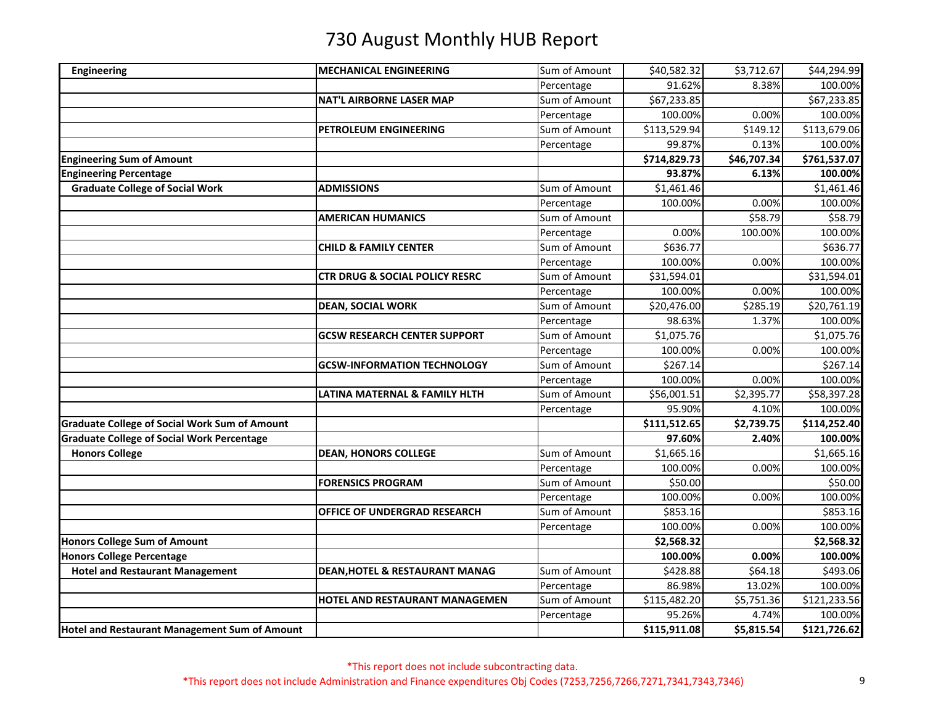| <b>Engineering</b>                                   | <b>MECHANICAL ENGINEERING</b>             | Sum of Amount | \$40,582.32  | \$3,712.67  | \$44,294.99  |
|------------------------------------------------------|-------------------------------------------|---------------|--------------|-------------|--------------|
|                                                      |                                           | Percentage    | 91.62%       | 8.38%       | 100.00%      |
|                                                      | <b>NAT'L AIRBORNE LASER MAP</b>           | Sum of Amount | \$67,233.85  |             | \$67,233.85  |
|                                                      |                                           | Percentage    | 100.00%      | 0.00%       | 100.00%      |
|                                                      | PETROLEUM ENGINEERING                     | Sum of Amount | \$113,529.94 | \$149.12    | \$113,679.06 |
|                                                      |                                           | Percentage    | 99.87%       | 0.13%       | 100.00%      |
| <b>Engineering Sum of Amount</b>                     |                                           |               | \$714,829.73 | \$46,707.34 | \$761,537.07 |
| <b>Engineering Percentage</b>                        |                                           |               | 93.87%       | 6.13%       | 100.00%      |
| <b>Graduate College of Social Work</b>               | <b>ADMISSIONS</b>                         | Sum of Amount | \$1,461.46   |             | \$1,461.46   |
|                                                      |                                           | Percentage    | 100.00%      | 0.00%       | 100.00%      |
|                                                      | <b>AMERICAN HUMANICS</b>                  | Sum of Amount |              | \$58.79     | \$58.79      |
|                                                      |                                           | Percentage    | 0.00%        | 100.00%     | 100.00%      |
|                                                      | <b>CHILD &amp; FAMILY CENTER</b>          | Sum of Amount | \$636.77     |             | \$636.77     |
|                                                      |                                           | Percentage    | 100.00%      | 0.00%       | 100.00%      |
|                                                      | <b>CTR DRUG &amp; SOCIAL POLICY RESRC</b> | Sum of Amount | \$31,594.01  |             | \$31,594.01  |
|                                                      |                                           | Percentage    | 100.00%      | 0.00%       | 100.00%      |
|                                                      | <b>DEAN, SOCIAL WORK</b>                  | Sum of Amount | \$20,476.00  | \$285.19    | \$20,761.19  |
|                                                      |                                           | Percentage    | 98.63%       | 1.37%       | 100.00%      |
|                                                      | <b>GCSW RESEARCH CENTER SUPPORT</b>       | Sum of Amount | \$1,075.76   |             | \$1,075.76   |
|                                                      |                                           | Percentage    | 100.00%      | 0.00%       | 100.00%      |
|                                                      | <b>GCSW-INFORMATION TECHNOLOGY</b>        | Sum of Amount | \$267.14     |             | \$267.14     |
|                                                      |                                           | Percentage    | 100.00%      | 0.00%       | 100.00%      |
|                                                      | LATINA MATERNAL & FAMILY HLTH             | Sum of Amount | \$56,001.51  | \$2,395.77  | \$58,397.28  |
|                                                      |                                           | Percentage    | 95.90%       | 4.10%       | 100.00%      |
| <b>Graduate College of Social Work Sum of Amount</b> |                                           |               | \$111,512.65 | \$2,739.75  | \$114,252.40 |
| <b>Graduate College of Social Work Percentage</b>    |                                           |               | 97.60%       | 2.40%       | 100.00%      |
| <b>Honors College</b>                                | <b>DEAN, HONORS COLLEGE</b>               | Sum of Amount | \$1,665.16   |             | \$1,665.16   |
|                                                      |                                           | Percentage    | 100.00%      | 0.00%       | 100.00%      |
|                                                      | <b>FORENSICS PROGRAM</b>                  | Sum of Amount | \$50.00      |             | \$50.00      |
|                                                      |                                           | Percentage    | 100.00%      | 0.00%       | 100.00%      |
|                                                      | OFFICE OF UNDERGRAD RESEARCH              | Sum of Amount | \$853.16     |             | \$853.16     |
|                                                      |                                           | Percentage    | 100.00%      | 0.00%       | 100.00%      |
| <b>Honors College Sum of Amount</b>                  |                                           |               | \$2,568.32   |             | \$2,568.32   |
| <b>Honors College Percentage</b>                     |                                           |               | 100.00%      | 0.00%       | 100.00%      |
| <b>Hotel and Restaurant Management</b>               | <b>DEAN, HOTEL &amp; RESTAURANT MANAG</b> | Sum of Amount | \$428.88     | \$64.18     | \$493.06     |
|                                                      |                                           | Percentage    | 86.98%       | 13.02%      | 100.00%      |
|                                                      | <b>HOTEL AND RESTAURANT MANAGEMEN</b>     | Sum of Amount | \$115,482.20 | \$5,751.36  | \$121,233.56 |
|                                                      |                                           | Percentage    | 95.26%       | 4.74%       | 100.00%      |
| <b>Hotel and Restaurant Management Sum of Amount</b> |                                           |               | \$115,911.08 | \$5,815.54  | \$121,726.62 |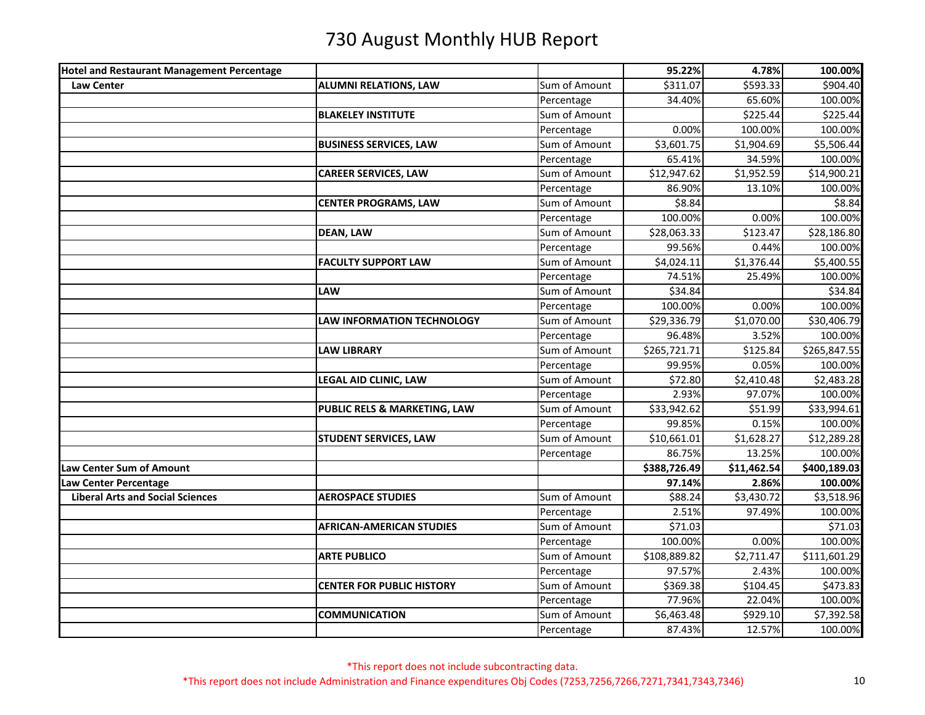| <b>Hotel and Restaurant Management Percentage</b> |                                   |               | 95.22%       | 4.78%                  | 100.00%      |
|---------------------------------------------------|-----------------------------------|---------------|--------------|------------------------|--------------|
| <b>Law Center</b>                                 | <b>ALUMNI RELATIONS, LAW</b>      | Sum of Amount | \$311.07     | \$593.33               | \$904.40     |
|                                                   |                                   | Percentage    | 34.40%       | 65.60%                 | 100.00%      |
|                                                   | <b>BLAKELEY INSTITUTE</b>         | Sum of Amount |              | \$225.44               | \$225.44     |
|                                                   |                                   | Percentage    | 0.00%        | 100.00%                | 100.00%      |
|                                                   | <b>BUSINESS SERVICES, LAW</b>     | Sum of Amount | \$3,601.75   | \$1,904.69             | \$5,506.44   |
|                                                   |                                   | Percentage    | 65.41%       | 34.59%                 | 100.00%      |
|                                                   | <b>CAREER SERVICES, LAW</b>       | Sum of Amount | \$12,947.62  | \$1,952.59             | \$14,900.21  |
|                                                   |                                   | Percentage    | 86.90%       | 13.10%                 | 100.00%      |
|                                                   | <b>CENTER PROGRAMS, LAW</b>       | Sum of Amount | \$8.84       |                        | \$8.84       |
|                                                   |                                   | Percentage    | 100.00%      | 0.00%                  | 100.00%      |
|                                                   | <b>DEAN, LAW</b>                  | Sum of Amount | \$28,063.33  | \$123.47               | \$28,186.80  |
|                                                   |                                   | Percentage    | 99.56%       | 0.44%                  | 100.00%      |
|                                                   | <b>FACULTY SUPPORT LAW</b>        | Sum of Amount | \$4,024.11   | \$1,376.44             | \$5,400.55   |
|                                                   |                                   | Percentage    | 74.51%       | 25.49%                 | 100.00%      |
|                                                   | <b>LAW</b>                        | Sum of Amount | \$34.84      |                        | \$34.84      |
|                                                   |                                   | Percentage    | 100.00%      | 0.00%                  | 100.00%      |
|                                                   | <b>LAW INFORMATION TECHNOLOGY</b> | Sum of Amount | \$29,336.79  | $\overline{$}1,070.00$ | \$30,406.79  |
|                                                   |                                   | Percentage    | 96.48%       | 3.52%                  | 100.00%      |
|                                                   | <b>LAW LIBRARY</b>                | Sum of Amount | \$265,721.71 | \$125.84               | \$265,847.55 |
|                                                   |                                   | Percentage    | 99.95%       | 0.05%                  | 100.00%      |
|                                                   | LEGAL AID CLINIC, LAW             | Sum of Amount | \$72.80      | \$2,410.48             | \$2,483.28   |
|                                                   |                                   | Percentage    | 2.93%        | 97.07%                 | 100.00%      |
|                                                   | PUBLIC RELS & MARKETING, LAW      | Sum of Amount | \$33,942.62  | \$51.99                | \$33,994.61  |
|                                                   |                                   | Percentage    | 99.85%       | 0.15%                  | 100.00%      |
|                                                   | <b>STUDENT SERVICES, LAW</b>      | Sum of Amount | \$10,661.01  | \$1,628.27             | \$12,289.28  |
|                                                   |                                   | Percentage    | 86.75%       | 13.25%                 | 100.00%      |
| Law Center Sum of Amount                          |                                   |               | \$388,726.49 | \$11,462.54            | \$400,189.03 |
| Law Center Percentage                             |                                   |               | 97.14%       | 2.86%                  | 100.00%      |
| <b>Liberal Arts and Social Sciences</b>           | <b>AEROSPACE STUDIES</b>          | Sum of Amount | \$88.24      | \$3,430.72             | \$3,518.96   |
|                                                   |                                   | Percentage    | 2.51%        | 97.49%                 | 100.00%      |
|                                                   | <b>AFRICAN-AMERICAN STUDIES</b>   | Sum of Amount | \$71.03      |                        | \$71.03      |
|                                                   |                                   | Percentage    | 100.00%      | 0.00%                  | 100.00%      |
|                                                   | <b>ARTE PUBLICO</b>               | Sum of Amount | \$108,889.82 | \$2,711.47             | \$111,601.29 |
|                                                   |                                   | Percentage    | 97.57%       | 2.43%                  | 100.00%      |
|                                                   | <b>CENTER FOR PUBLIC HISTORY</b>  | Sum of Amount | \$369.38     | \$104.45               | \$473.83     |
|                                                   |                                   | Percentage    | 77.96%       | 22.04%                 | 100.00%      |
|                                                   | <b>COMMUNICATION</b>              | Sum of Amount | \$6,463.48   | \$929.10               | \$7,392.58   |
|                                                   |                                   | Percentage    | 87.43%       | 12.57%                 | 100.00%      |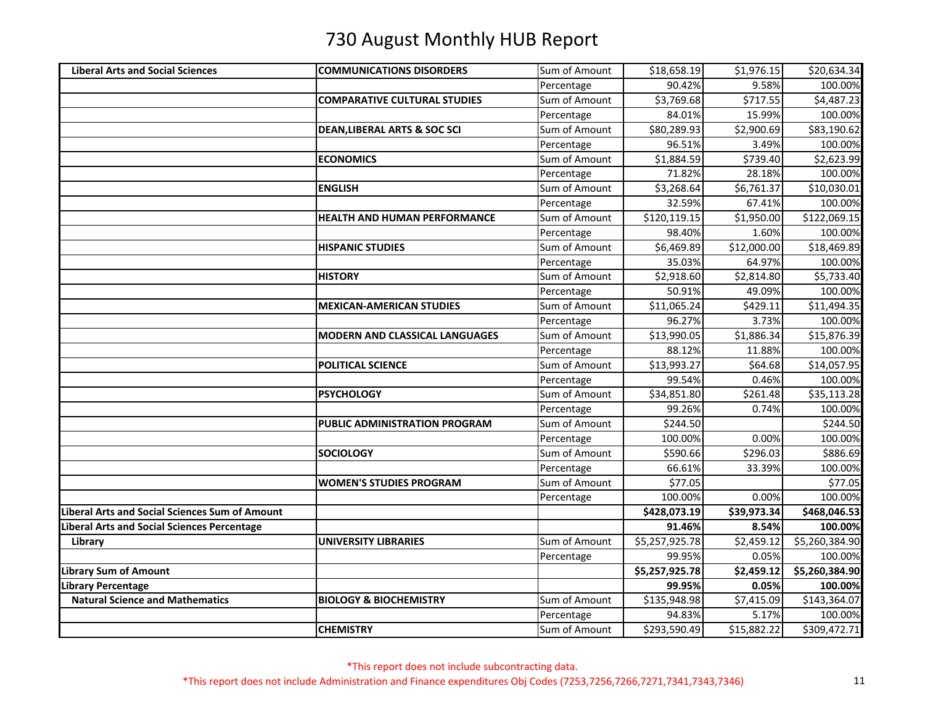| <b>Liberal Arts and Social Sciences</b>               | <b>COMMUNICATIONS DISORDERS</b>         | Sum of Amount | \$18,658.19    | \$1,976.15  | \$20,634.34    |
|-------------------------------------------------------|-----------------------------------------|---------------|----------------|-------------|----------------|
|                                                       |                                         | Percentage    | 90.42%         | 9.58%       | 100.00%        |
|                                                       | <b>COMPARATIVE CULTURAL STUDIES</b>     | Sum of Amount | \$3,769.68     | \$717.55    | \$4,487.23     |
|                                                       |                                         | Percentage    | 84.01%         | 15.99%      | 100.00%        |
|                                                       | <b>DEAN, LIBERAL ARTS &amp; SOC SCI</b> | Sum of Amount | \$80,289.93    | \$2,900.69  | \$83,190.62    |
|                                                       |                                         | Percentage    | 96.51%         | 3.49%       | 100.00%        |
|                                                       | <b>ECONOMICS</b>                        | Sum of Amount | \$1,884.59     | \$739.40    | \$2,623.99     |
|                                                       |                                         | Percentage    | 71.82%         | 28.18%      | 100.00%        |
|                                                       | <b>ENGLISH</b>                          | Sum of Amount | \$3,268.64     | \$6,761.37  | \$10,030.01    |
|                                                       |                                         | Percentage    | 32.59%         | 67.41%      | 100.00%        |
|                                                       | <b>HEALTH AND HUMAN PERFORMANCE</b>     | Sum of Amount | \$120,119.15   | \$1,950.00  | \$122,069.15   |
|                                                       |                                         | Percentage    | 98.40%         | 1.60%       | 100.00%        |
|                                                       | <b>HISPANIC STUDIES</b>                 | Sum of Amount | \$6,469.89     | \$12,000.00 | \$18,469.89    |
|                                                       |                                         | Percentage    | 35.03%         | 64.97%      | 100.00%        |
|                                                       | <b>HISTORY</b>                          | Sum of Amount | \$2,918.60     | \$2,814.80  | \$5,733.40     |
|                                                       |                                         | Percentage    | 50.91%         | 49.09%      | 100.00%        |
|                                                       | <b>MEXICAN-AMERICAN STUDIES</b>         | Sum of Amount | \$11,065.24    | \$429.11    | \$11,494.35    |
|                                                       |                                         | Percentage    | 96.27%         | 3.73%       | 100.00%        |
|                                                       | MODERN AND CLASSICAL LANGUAGES          | Sum of Amount | \$13,990.05    | \$1,886.34  | \$15,876.39    |
|                                                       |                                         | Percentage    | 88.12%         | 11.88%      | 100.00%        |
|                                                       | POLITICAL SCIENCE                       | Sum of Amount | \$13,993.27    | \$64.68     | \$14,057.95    |
|                                                       |                                         | Percentage    | 99.54%         | 0.46%       | 100.00%        |
|                                                       | <b>PSYCHOLOGY</b>                       | Sum of Amount | \$34,851.80    | \$261.48    | \$35,113.28    |
|                                                       |                                         | Percentage    | 99.26%         | 0.74%       | 100.00%        |
|                                                       | PUBLIC ADMINISTRATION PROGRAM           | Sum of Amount | \$244.50       |             | \$244.50       |
|                                                       |                                         | Percentage    | 100.00%        | 0.00%       | 100.00%        |
|                                                       | <b>SOCIOLOGY</b>                        | Sum of Amount | \$590.66       | \$296.03    | \$886.69       |
|                                                       |                                         | Percentage    | 66.61%         | 33.39%      | 100.00%        |
|                                                       | <b>WOMEN'S STUDIES PROGRAM</b>          | Sum of Amount | \$77.05        |             | \$77.05        |
|                                                       |                                         | Percentage    | 100.00%        | 0.00%       | 100.00%        |
| <b>Liberal Arts and Social Sciences Sum of Amount</b> |                                         |               | \$428,073.19   | \$39,973.34 | \$468,046.53   |
| <b>Liberal Arts and Social Sciences Percentage</b>    |                                         |               | 91.46%         | 8.54%       | 100.00%        |
| Library                                               | <b>UNIVERSITY LIBRARIES</b>             | Sum of Amount | \$5,257,925.78 | \$2,459.12  | \$5,260,384.90 |
|                                                       |                                         | Percentage    | 99.95%         | 0.05%       | 100.00%        |
| Library Sum of Amount                                 |                                         |               | \$5,257,925.78 | \$2,459.12  | \$5,260,384.90 |
| Library Percentage                                    |                                         |               | 99.95%         | 0.05%       | 100.00%        |
| <b>Natural Science and Mathematics</b>                | <b>BIOLOGY &amp; BIOCHEMISTRY</b>       | Sum of Amount | \$135,948.98   | \$7,415.09  | \$143,364.07   |
|                                                       |                                         | Percentage    | 94.83%         | 5.17%       | 100.00%        |
|                                                       | <b>CHEMISTRY</b>                        | Sum of Amount | \$293,590.49   | \$15,882.22 | \$309,472.71   |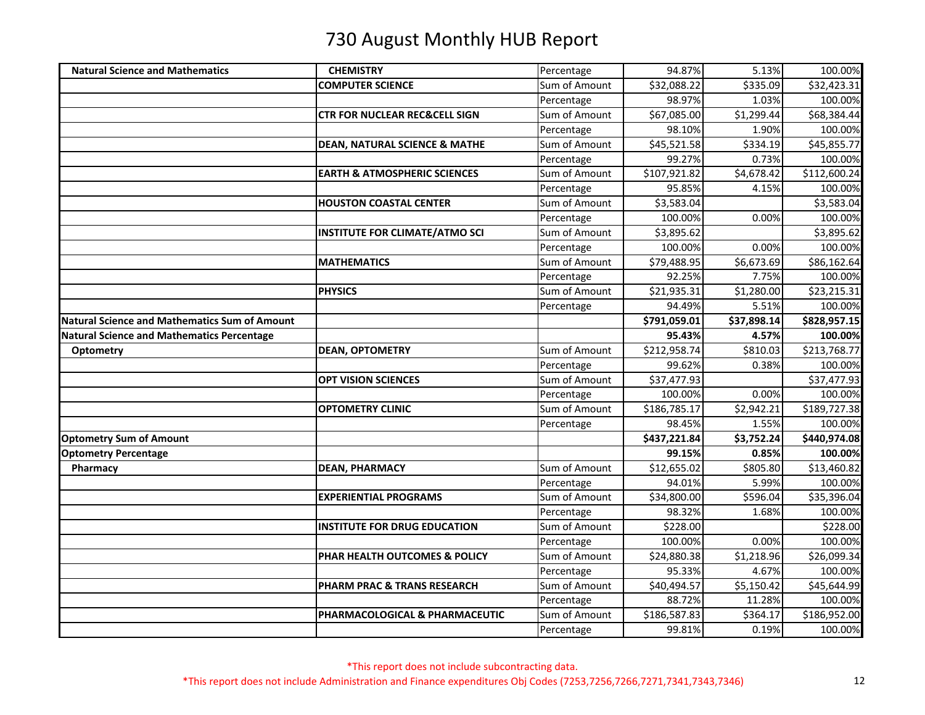| <b>Natural Science and Mathematics</b>               | <b>CHEMISTRY</b>                         | Percentage    | 94.87%       | 5.13%       | 100.00%      |
|------------------------------------------------------|------------------------------------------|---------------|--------------|-------------|--------------|
|                                                      | <b>COMPUTER SCIENCE</b>                  | Sum of Amount | \$32,088.22  | \$335.09    | \$32,423.31  |
|                                                      |                                          | Percentage    | 98.97%       | 1.03%       | 100.00%      |
|                                                      | <b>CTR FOR NUCLEAR REC&amp;CELL SIGN</b> | Sum of Amount | \$67,085.00  | \$1,299.44  | \$68,384.44  |
|                                                      |                                          | Percentage    | 98.10%       | 1.90%       | 100.00%      |
|                                                      | <b>DEAN, NATURAL SCIENCE &amp; MATHE</b> | Sum of Amount | \$45,521.58  | \$334.19    | \$45,855.77  |
|                                                      |                                          | Percentage    | 99.27%       | 0.73%       | 100.00%      |
|                                                      | <b>EARTH &amp; ATMOSPHERIC SCIENCES</b>  | Sum of Amount | \$107,921.82 | \$4,678.42  | \$112,600.24 |
|                                                      |                                          | Percentage    | 95.85%       | 4.15%       | 100.00%      |
|                                                      | <b>HOUSTON COASTAL CENTER</b>            | Sum of Amount | \$3,583.04   |             | \$3,583.04   |
|                                                      |                                          | Percentage    | 100.00%      | 0.00%       | 100.00%      |
|                                                      | INSTITUTE FOR CLIMATE/ATMO SCI           | Sum of Amount | \$3,895.62   |             | \$3,895.62   |
|                                                      |                                          | Percentage    | 100.00%      | 0.00%       | 100.00%      |
|                                                      | <b>MATHEMATICS</b>                       | Sum of Amount | \$79,488.95  | \$6,673.69  | \$86,162.64  |
|                                                      |                                          | Percentage    | 92.25%       | 7.75%       | 100.00%      |
|                                                      | <b>PHYSICS</b>                           | Sum of Amount | \$21,935.31  | \$1,280.00  | \$23,215.31  |
|                                                      |                                          | Percentage    | 94.49%       | 5.51%       | 100.00%      |
| <b>Natural Science and Mathematics Sum of Amount</b> |                                          |               | \$791,059.01 | \$37,898.14 | \$828,957.15 |
| <b>Natural Science and Mathematics Percentage</b>    |                                          |               | 95.43%       | 4.57%       | 100.00%      |
| <b>Optometry</b>                                     | <b>DEAN, OPTOMETRY</b>                   | Sum of Amount | \$212,958.74 | \$810.03    | \$213,768.77 |
|                                                      |                                          | Percentage    | 99.62%       | 0.38%       | 100.00%      |
|                                                      | <b>OPT VISION SCIENCES</b>               | Sum of Amount | \$37,477.93  |             | \$37,477.93  |
|                                                      |                                          | Percentage    | 100.00%      | 0.00%       | 100.00%      |
|                                                      | <b>OPTOMETRY CLINIC</b>                  | Sum of Amount | \$186,785.17 | \$2,942.21  | \$189,727.38 |
|                                                      |                                          | Percentage    | 98.45%       | 1.55%       | 100.00%      |
| <b>Optometry Sum of Amount</b>                       |                                          |               | \$437,221.84 | \$3,752.24  | \$440,974.08 |
| <b>Optometry Percentage</b>                          |                                          |               | 99.15%       | 0.85%       | 100.00%      |
| Pharmacy                                             | <b>DEAN, PHARMACY</b>                    | Sum of Amount | \$12,655.02  | \$805.80    | \$13,460.82  |
|                                                      |                                          | Percentage    | 94.01%       | 5.99%       | 100.00%      |
|                                                      | <b>EXPERIENTIAL PROGRAMS</b>             | Sum of Amount | \$34,800.00  | \$596.04    | \$35,396.04  |
|                                                      |                                          | Percentage    | 98.32%       | 1.68%       | 100.00%      |
|                                                      | <b>INSTITUTE FOR DRUG EDUCATION</b>      | Sum of Amount | \$228.00     |             | \$228.00     |
|                                                      |                                          | Percentage    | 100.00%      | 0.00%       | 100.00%      |
|                                                      | PHAR HEALTH OUTCOMES & POLICY            | Sum of Amount | \$24,880.38  | \$1,218.96  | \$26,099.34  |
|                                                      |                                          | Percentage    | 95.33%       | 4.67%       | 100.00%      |
|                                                      | PHARM PRAC & TRANS RESEARCH              | Sum of Amount | \$40,494.57  | \$5,150.42  | \$45,644.99  |
|                                                      |                                          | Percentage    | 88.72%       | 11.28%      | 100.00%      |
|                                                      | PHARMACOLOGICAL & PHARMACEUTIC           | Sum of Amount | \$186,587.83 | \$364.17    | \$186,952.00 |
|                                                      |                                          | Percentage    | 99.81%       | 0.19%       | 100.00%      |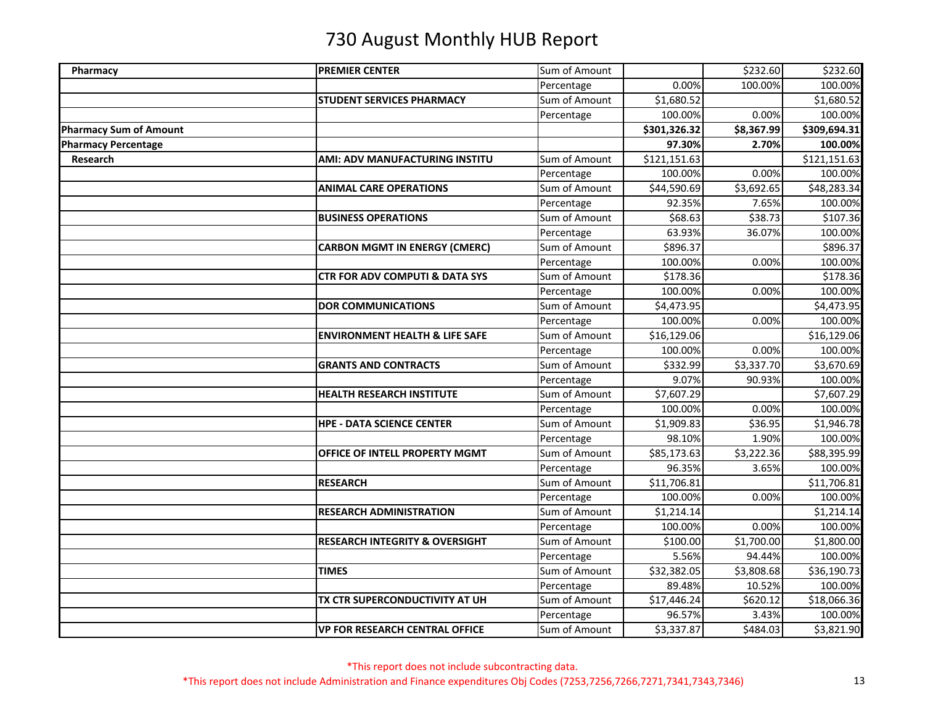| Pharmacy                      | <b>PREMIER CENTER</b>                     | Sum of Amount |              | \$232.60   | \$232.60     |
|-------------------------------|-------------------------------------------|---------------|--------------|------------|--------------|
|                               |                                           | Percentage    | 0.00%        | 100.00%    | 100.00%      |
|                               | <b>STUDENT SERVICES PHARMACY</b>          | Sum of Amount | \$1,680.52   |            | \$1,680.52   |
|                               |                                           | Percentage    | 100.00%      | 0.00%      | 100.00%      |
| <b>Pharmacy Sum of Amount</b> |                                           |               | \$301,326.32 | \$8,367.99 | \$309,694.31 |
| <b>Pharmacy Percentage</b>    |                                           |               | 97.30%       | 2.70%      | 100.00%      |
| Research                      | <b>AMI: ADV MANUFACTURING INSTITU</b>     | Sum of Amount | \$121,151.63 |            | \$121,151.63 |
|                               |                                           | Percentage    | 100.00%      | 0.00%      | 100.00%      |
|                               | <b>ANIMAL CARE OPERATIONS</b>             | Sum of Amount | \$44,590.69  | \$3,692.65 | \$48,283.34  |
|                               |                                           | Percentage    | 92.35%       | 7.65%      | 100.00%      |
|                               | <b>BUSINESS OPERATIONS</b>                | Sum of Amount | \$68.63      | \$38.73    | \$107.36     |
|                               |                                           | Percentage    | 63.93%       | 36.07%     | 100.00%      |
|                               | <b>CARBON MGMT IN ENERGY (CMERC)</b>      | Sum of Amount | \$896.37     |            | \$896.37     |
|                               |                                           | Percentage    | 100.00%      | 0.00%      | 100.00%      |
|                               | <b>CTR FOR ADV COMPUTI &amp; DATA SYS</b> | Sum of Amount | \$178.36     |            | \$178.36     |
|                               |                                           | Percentage    | 100.00%      | 0.00%      | 100.00%      |
|                               | <b>DOR COMMUNICATIONS</b>                 | Sum of Amount | \$4,473.95   |            | \$4,473.95   |
|                               |                                           | Percentage    | 100.00%      | 0.00%      | 100.00%      |
|                               | <b>ENVIRONMENT HEALTH &amp; LIFE SAFE</b> | Sum of Amount | \$16,129.06  |            | \$16,129.06  |
|                               |                                           | Percentage    | 100.00%      | 0.00%      | 100.00%      |
|                               | <b>GRANTS AND CONTRACTS</b>               | Sum of Amount | \$332.99     | \$3,337.70 | \$3,670.69   |
|                               |                                           | Percentage    | 9.07%        | 90.93%     | 100.00%      |
|                               | <b>HEALTH RESEARCH INSTITUTE</b>          | Sum of Amount | \$7,607.29   |            | \$7,607.29   |
|                               |                                           | Percentage    | 100.00%      | 0.00%      | 100.00%      |
|                               | <b>HPE - DATA SCIENCE CENTER</b>          | Sum of Amount | \$1,909.83   | \$36.95    | \$1,946.78   |
|                               |                                           | Percentage    | 98.10%       | 1.90%      | 100.00%      |
|                               | OFFICE OF INTELL PROPERTY MGMT            | Sum of Amount | \$85,173.63  | \$3,222.36 | \$88,395.99  |
|                               |                                           | Percentage    | 96.35%       | 3.65%      | 100.00%      |
|                               | <b>RESEARCH</b>                           | Sum of Amount | \$11,706.81  |            | \$11,706.81  |
|                               |                                           | Percentage    | 100.00%      | 0.00%      | 100.00%      |
|                               | <b>RESEARCH ADMINISTRATION</b>            | Sum of Amount | \$1,214.14   |            | \$1,214.14   |
|                               |                                           | Percentage    | 100.00%      | 0.00%      | 100.00%      |
|                               | <b>RESEARCH INTEGRITY &amp; OVERSIGHT</b> | Sum of Amount | \$100.00     | \$1,700.00 | \$1,800.00   |
|                               |                                           | Percentage    | 5.56%        | 94.44%     | 100.00%      |
|                               | <b>TIMES</b>                              | Sum of Amount | \$32,382.05  | \$3,808.68 | \$36,190.73  |
|                               |                                           | Percentage    | 89.48%       | 10.52%     | 100.00%      |
|                               | TX CTR SUPERCONDUCTIVITY AT UH            | Sum of Amount | \$17,446.24  | \$620.12   | \$18,066.36  |
|                               |                                           | Percentage    | 96.57%       | 3.43%      | 100.00%      |
|                               | <b>VP FOR RESEARCH CENTRAL OFFICE</b>     | Sum of Amount | \$3,337.87   | \$484.03   | \$3,821.90   |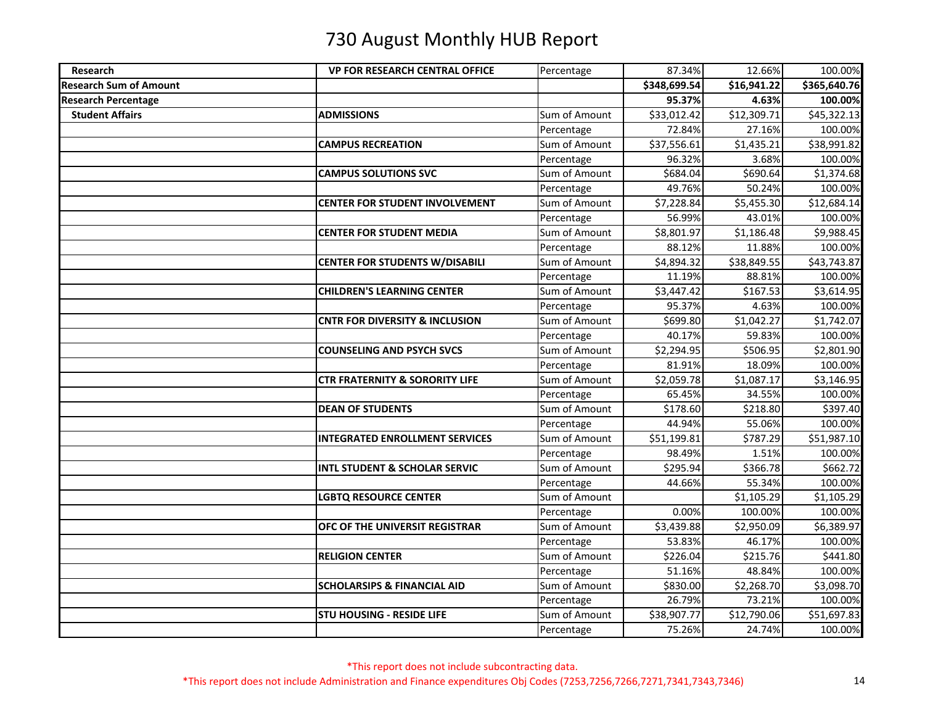| Research                      | <b>VP FOR RESEARCH CENTRAL OFFICE</b>     | Percentage    | 87.34%               | 12.66%      | 100.00%                 |
|-------------------------------|-------------------------------------------|---------------|----------------------|-------------|-------------------------|
| <b>Research Sum of Amount</b> |                                           |               | \$348,699.54         | \$16,941.22 | \$365,640.76            |
| <b>Research Percentage</b>    |                                           |               | 95.37%               | 4.63%       | 100.00%                 |
| <b>Student Affairs</b>        | <b>ADMISSIONS</b>                         | Sum of Amount | \$33,012.42          | \$12,309.71 | $\overline{$}45,322.13$ |
|                               |                                           | Percentage    | 72.84%               | 27.16%      | 100.00%                 |
|                               | <b>CAMPUS RECREATION</b>                  | Sum of Amount | \$37,556.61          | \$1,435.21  | \$38,991.82             |
|                               |                                           | Percentage    | 96.32%               | 3.68%       | 100.00%                 |
|                               | <b>CAMPUS SOLUTIONS SVC</b>               | Sum of Amount | \$684.04             | \$690.64    | \$1,374.68              |
|                               |                                           | Percentage    | 49.76%               | 50.24%      | 100.00%                 |
|                               | <b>CENTER FOR STUDENT INVOLVEMENT</b>     | Sum of Amount | \$7,228.84           | \$5,455.30  | \$12,684.14             |
|                               |                                           | Percentage    | 56.99%               | 43.01%      | 100.00%                 |
|                               | <b>CENTER FOR STUDENT MEDIA</b>           | Sum of Amount | \$8,801.97           | \$1,186.48  | \$9,988.45              |
|                               |                                           | Percentage    | 88.12%               | 11.88%      | 100.00%                 |
|                               | <b>CENTER FOR STUDENTS W/DISABILI</b>     | Sum of Amount | \$4,894.32           | \$38,849.55 | \$43,743.87             |
|                               |                                           | Percentage    | 11.19%               | 88.81%      | 100.00%                 |
|                               | <b>CHILDREN'S LEARNING CENTER</b>         | Sum of Amount | \$3,447.42           | \$167.53    | \$3,614.95              |
|                               |                                           | Percentage    | 95.37%               | 4.63%       | 100.00%                 |
|                               | <b>CNTR FOR DIVERSITY &amp; INCLUSION</b> | Sum of Amount | \$699.80             | \$1,042.27  | \$1,742.07              |
|                               |                                           | Percentage    | 40.17%               | 59.83%      | 100.00%                 |
|                               | <b>COUNSELING AND PSYCH SVCS</b>          | Sum of Amount | \$2,294.95           | \$506.95    | \$2,801.90              |
|                               |                                           | Percentage    | 81.91%               | 18.09%      | 100.00%                 |
|                               | <b>CTR FRATERNITY &amp; SORORITY LIFE</b> | Sum of Amount | \$2,059.78           | \$1,087.17  | \$3,146.95              |
|                               |                                           | Percentage    | 65.45%               | 34.55%      | 100.00%                 |
|                               | <b>DEAN OF STUDENTS</b>                   | Sum of Amount | \$178.60             | \$218.80    | \$397.40                |
|                               |                                           | Percentage    | 44.94%               | 55.06%      | 100.00%                 |
|                               | <b>INTEGRATED ENROLLMENT SERVICES</b>     | Sum of Amount | \$51,199.81          | \$787.29    | \$51,987.10             |
|                               |                                           | Percentage    | 98.49%               | 1.51%       | 100.00%                 |
|                               | <b>INTL STUDENT &amp; SCHOLAR SERVIC</b>  | Sum of Amount | $\overline{$}295.94$ | \$366.78    | \$662.72                |
|                               |                                           | Percentage    | 44.66%               | 55.34%      | 100.00%                 |
|                               | <b>LGBTQ RESOURCE CENTER</b>              | Sum of Amount |                      | \$1,105.29  | \$1,105.29              |
|                               |                                           | Percentage    | 0.00%                | 100.00%     | 100.00%                 |
|                               | OFC OF THE UNIVERSIT REGISTRAR            | Sum of Amount | \$3,439.88           | \$2,950.09  | \$6,389.97              |
|                               |                                           | Percentage    | 53.83%               | 46.17%      | 100.00%                 |
|                               | <b>RELIGION CENTER</b>                    | Sum of Amount | \$226.04             | \$215.76    | \$441.80                |
|                               |                                           | Percentage    | 51.16%               | 48.84%      | 100.00%                 |
|                               | <b>SCHOLARSIPS &amp; FINANCIAL AID</b>    | Sum of Amount | \$830.00             | \$2,268.70  | \$3,098.70              |
|                               |                                           | Percentage    | 26.79%               | 73.21%      | 100.00%                 |
|                               | <b>STU HOUSING - RESIDE LIFE</b>          | Sum of Amount | \$38,907.77          | \$12,790.06 | \$51,697.83             |
|                               |                                           | Percentage    | 75.26%               | 24.74%      | 100.00%                 |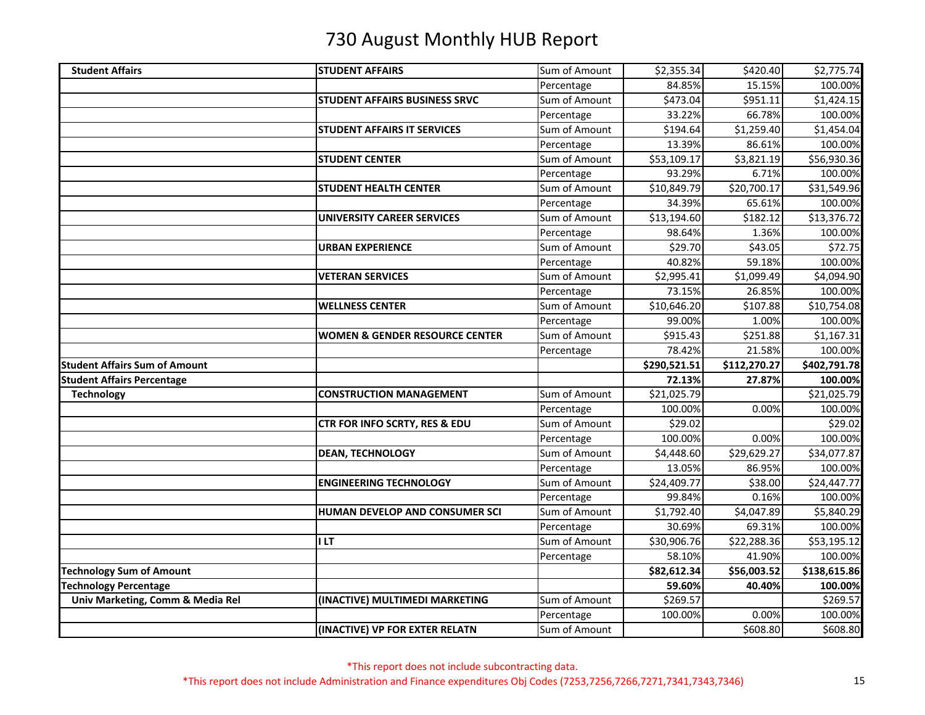| <b>Student Affairs</b>                                          | <b>STUDENT AFFAIRS</b>                    | Sum of Amount               | \$2,355.34   | \$420.40          | \$2,775.74          |
|-----------------------------------------------------------------|-------------------------------------------|-----------------------------|--------------|-------------------|---------------------|
|                                                                 |                                           | Percentage                  | 84.85%       | 15.15%            | 100.00%             |
|                                                                 | <b>STUDENT AFFAIRS BUSINESS SRVC</b>      | Sum of Amount               | \$473.04     | \$951.11          | \$1,424.15          |
|                                                                 |                                           | Percentage                  | 33.22%       | 66.78%            | 100.00%             |
|                                                                 | <b>STUDENT AFFAIRS IT SERVICES</b>        | Sum of Amount               | \$194.64     | \$1,259.40        | \$1,454.04          |
|                                                                 |                                           | Percentage                  | 13.39%       | 86.61%            | 100.00%             |
|                                                                 | <b>STUDENT CENTER</b>                     | Sum of Amount               | \$53,109.17  | \$3,821.19        | \$56,930.36         |
|                                                                 |                                           | Percentage                  | 93.29%       | 6.71%             | 100.00%             |
|                                                                 | <b>STUDENT HEALTH CENTER</b>              | Sum of Amount               | \$10,849.79  | \$20,700.17       | \$31,549.96         |
|                                                                 |                                           | Percentage                  | 34.39%       | 65.61%            | 100.00%             |
|                                                                 | <b>UNIVERSITY CAREER SERVICES</b>         | Sum of Amount               | \$13,194.60  | \$182.12          | \$13,376.72         |
|                                                                 |                                           | Percentage                  | 98.64%       | 1.36%             | 100.00%             |
|                                                                 | <b>URBAN EXPERIENCE</b>                   | Sum of Amount               | \$29.70      | \$43.05           | \$72.75             |
|                                                                 |                                           | Percentage                  | 40.82%       | 59.18%            | 100.00%             |
|                                                                 | <b>VETERAN SERVICES</b>                   | Sum of Amount               | \$2,995.41   | \$1,099.49        | \$4,094.90          |
|                                                                 |                                           | Percentage                  | 73.15%       | 26.85%            | 100.00%             |
|                                                                 | <b>WELLNESS CENTER</b>                    | Sum of Amount               | \$10,646.20  | \$107.88          | \$10,754.08         |
|                                                                 |                                           | Percentage                  | 99.00%       | 1.00%             | 100.00%             |
|                                                                 | <b>WOMEN &amp; GENDER RESOURCE CENTER</b> | Sum of Amount               | \$915.43     | \$251.88          | \$1,167.31          |
|                                                                 |                                           | Percentage                  | 78.42%       | 21.58%            | 100.00%             |
|                                                                 |                                           |                             |              |                   |                     |
| <b>Student Affairs Sum of Amount</b>                            |                                           |                             | \$290,521.51 | \$112,270.27      | \$402,791.78        |
| <b>Student Affairs Percentage</b>                               |                                           |                             | 72.13%       | 27.87%            | 100.00%             |
| <b>Technology</b>                                               | <b>CONSTRUCTION MANAGEMENT</b>            | Sum of Amount               | \$21,025.79  |                   | \$21,025.79         |
|                                                                 |                                           | Percentage                  | 100.00%      | 0.00%             | 100.00%             |
|                                                                 | CTR FOR INFO SCRTY, RES & EDU             | Sum of Amount               | \$29.02      |                   | \$29.02             |
|                                                                 |                                           | Percentage                  | 100.00%      | 0.00%             | 100.00%             |
|                                                                 | <b>DEAN, TECHNOLOGY</b>                   | Sum of Amount               | \$4,448.60   | \$29,629.27       | \$34,077.87         |
|                                                                 |                                           | Percentage                  | 13.05%       | 86.95%            | 100.00%             |
|                                                                 | <b>ENGINEERING TECHNOLOGY</b>             | Sum of Amount               | \$24,409.77  | \$38.00           | \$24,447.77         |
|                                                                 |                                           | Percentage                  | 99.84%       | 0.16%             | 100.00%             |
|                                                                 | HUMAN DEVELOP AND CONSUMER SCI            | Sum of Amount               | \$1,792.40   | \$4,047.89        | \$5,840.29          |
|                                                                 |                                           | Percentage                  | 30.69%       | 69.31%            | 100.00%             |
|                                                                 | li LT                                     | Sum of Amount               | \$30,906.76  | \$22,288.36       | \$53,195.12         |
|                                                                 |                                           | Percentage                  | 58.10%       | 41.90%            | 100.00%             |
|                                                                 |                                           |                             | \$82,612.34  | \$56,003.52       | \$138,615.86        |
| <b>Technology Sum of Amount</b><br><b>Technology Percentage</b> |                                           |                             | 59.60%       | 40.40%            | 100.00%             |
| Univ Marketing, Comm & Media Rel                                | (INACTIVE) MULTIMEDI MARKETING            | Sum of Amount               | \$269.57     |                   | \$269.57            |
|                                                                 | (INACTIVE) VP FOR EXTER RELATN            | Percentage<br>Sum of Amount | 100.00%      | 0.00%<br>\$608.80 | 100.00%<br>\$608.80 |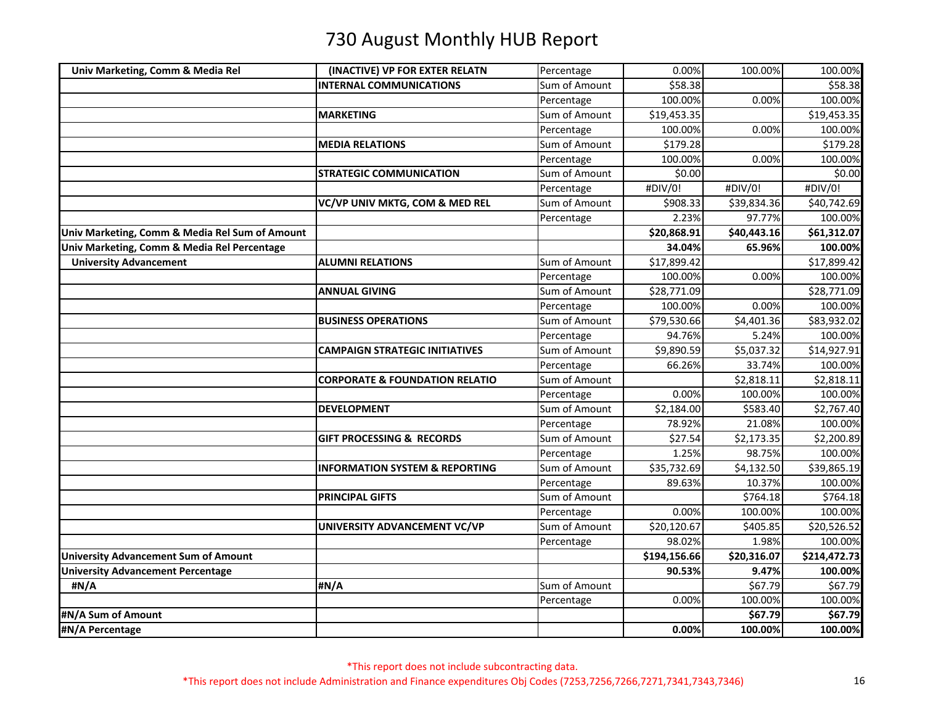| Univ Marketing, Comm & Media Rel               | (INACTIVE) VP FOR EXTER RELATN            | Percentage    | 0.00%        | 100.00%     | 100.00%      |
|------------------------------------------------|-------------------------------------------|---------------|--------------|-------------|--------------|
|                                                | <b>INTERNAL COMMUNICATIONS</b>            | Sum of Amount | \$58.38      |             | \$58.38      |
|                                                |                                           | Percentage    | 100.00%      | 0.00%       | 100.00%      |
|                                                | <b>MARKETING</b>                          | Sum of Amount | \$19,453.35  |             | \$19,453.35  |
|                                                |                                           | Percentage    | 100.00%      | 0.00%       | 100.00%      |
|                                                | <b>MEDIA RELATIONS</b>                    | Sum of Amount | \$179.28     |             | \$179.28     |
|                                                |                                           | Percentage    | 100.00%      | 0.00%       | 100.00%      |
|                                                | <b>STRATEGIC COMMUNICATION</b>            | Sum of Amount | \$0.00       |             | \$0.00       |
|                                                |                                           | Percentage    | #DIV/0!      | #DIV/0!     | #DIV/0!      |
|                                                | VC/VP UNIV MKTG, COM & MED REL            | Sum of Amount | \$908.33     | \$39,834.36 | \$40,742.69  |
|                                                |                                           | Percentage    | 2.23%        | 97.77%      | 100.00%      |
| Univ Marketing, Comm & Media Rel Sum of Amount |                                           |               | \$20,868.91  | \$40,443.16 | \$61,312.07  |
| Univ Marketing, Comm & Media Rel Percentage    |                                           |               | 34.04%       | 65.96%      | 100.00%      |
| <b>University Advancement</b>                  | <b>ALUMNI RELATIONS</b>                   | Sum of Amount | \$17,899.42  |             | \$17,899.42  |
|                                                |                                           | Percentage    | 100.00%      | 0.00%       | 100.00%      |
|                                                | <b>ANNUAL GIVING</b>                      | Sum of Amount | \$28,771.09  |             | \$28,771.09  |
|                                                |                                           | Percentage    | 100.00%      | 0.00%       | 100.00%      |
|                                                | <b>BUSINESS OPERATIONS</b>                | Sum of Amount | \$79,530.66  | \$4,401.36  | \$83,932.02  |
|                                                |                                           | Percentage    | 94.76%       | 5.24%       | 100.00%      |
|                                                | <b>CAMPAIGN STRATEGIC INITIATIVES</b>     | Sum of Amount | \$9,890.59   | \$5,037.32  | \$14,927.91  |
|                                                |                                           | Percentage    | 66.26%       | 33.74%      | 100.00%      |
|                                                | <b>CORPORATE &amp; FOUNDATION RELATIO</b> | Sum of Amount |              | \$2,818.11  | \$2,818.11   |
|                                                |                                           | Percentage    | 0.00%        | 100.00%     | 100.00%      |
|                                                | <b>DEVELOPMENT</b>                        | Sum of Amount | \$2,184.00   | \$583.40    | \$2,767.40   |
|                                                |                                           | Percentage    | 78.92%       | 21.08%      | 100.00%      |
|                                                | <b>GIFT PROCESSING &amp; RECORDS</b>      | Sum of Amount | \$27.54      | \$2,173.35  | \$2,200.89   |
|                                                |                                           | Percentage    | 1.25%        | 98.75%      | 100.00%      |
|                                                | <b>INFORMATION SYSTEM &amp; REPORTING</b> | Sum of Amount | \$35,732.69  | \$4,132.50  | \$39,865.19  |
|                                                |                                           | Percentage    | 89.63%       | 10.37%      | 100.00%      |
|                                                | <b>PRINCIPAL GIFTS</b>                    | Sum of Amount |              | \$764.18    | \$764.18     |
|                                                |                                           | Percentage    | 0.00%        | 100.00%     | 100.00%      |
|                                                | UNIVERSITY ADVANCEMENT VC/VP              | Sum of Amount | \$20,120.67  | \$405.85    | \$20,526.52  |
|                                                |                                           | Percentage    | 98.02%       | 1.98%       | 100.00%      |
| University Advancement Sum of Amount           |                                           |               | \$194,156.66 | \$20,316.07 | \$214,472.73 |
| <b>University Advancement Percentage</b>       |                                           |               | 90.53%       | 9.47%       | 100.00%      |
| #N/A                                           | #N/A                                      | Sum of Amount |              | \$67.79     | \$67.79      |
|                                                |                                           | Percentage    | 0.00%        | 100.00%     | 100.00%      |
| #N/A Sum of Amount                             |                                           |               |              | \$67.79     | \$67.79      |
| #N/A Percentage                                |                                           |               | 0.00%        | 100.00%     | 100.00%      |